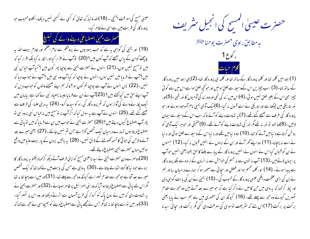عیسیٰ مسج کی معرفت <sup>پہن</sup>چی ۔ (18)اللہ و تبارک تعالیٰ کو <sup>کس</sup>ی نے <sup>کس</sup>بھی نہیں دیکھا۔اکلوتا محبوب حبو پرورد گار کی قربت میں ہے اسی نے ظاہر کیا۔

حصرت يحيى اصطباعي ديسے والے كى تبليغ

(19) اور یحییٰ کی گواہی ہیہ ہے کہ حب یہودیوں نے یروشلم سے امام اعظم اور خادم بہیت اللہ یہ پوچھنے کوان کے پاس بھیجے کہ آپ کون بیں؟ (20) نوآپ نے اقرار کیااورا نکار نہ کیا بلکہ اقرار کیا کہ میں تو مسیح نہیں ہوں۔(21) انہوں نے حصرت یحییٰ سے پوچیا پھر کون ہیں ؟ کیا آپ الیاس نبی ہیں؟ آپ نے فرمایا میں نہیں ہوں-انہوں نے پوچپا کہ کیا آپ وہ نبی ہیں ؟ آپ نے حواب دیا کہ نہیں ۔(22) پس انہوں نے آپ سے پوچیا تم کون ہو ؟تاکہ ہم اپنے بھیجنے والوں کو حواب دیں کہ آپ اپنے حق میں کیا گہتے ہیں؟ (23)آپ نے ان سے فرمایا جیسا یسعیاہ نبی نے کہا ہے بیابان میں ایک پکار نےوالے کی آواز ہوں کہ تم پرورد گار کی راہ کوسیدھا کرو۔ (24) پہ دینی علماء کی طرف سے بھیجے گئے تھے۔(25) انہوں نے آپ سے یہ سوال کیا کہ اگر آپ نہ نومسیح بیں نہ الیاس نبی نہ وہ نبی نو پھر آپ اصطباع کیوں دیتے ہیں؟ (26) حصرت یحیٰ نے حواب میں ان سے فرمایا کہ میں تو پانی سے اصطباع دیتا ہوں تہارے درمیان ایک شخص کھڑا ہے جس تم نہیں جانتے ۔(27) یعنی میرے بعد آنے والاحن کی حوقی کا تسمہ کھولنے کے لائق نہیں۔ (28) یہ باتیں یردن کے پار بیت عنیامیں واقع ہوئیں جہاں حصرت یحیٰی اصطباع دیتے تھے۔

(29)دوسرے دن حصرت یحییٰ نے سید ناعیسیٰ مسیح کواپنی طرف آتے دیکھ کر <sub>ک</sub>ھا دیکھو یہ پرورد گار کا برہ ہے حبود نیا کا گناہ اٹھا لے جاتا ہے ۔(30) یہ وہی ہے جس کی بابت میں نے کہا تھا کہ ایک شخص میرے بعد آتا ہے حومحھ سے مقدم ٹھہراہے کیونکہ وہ محھ سے پہلے تھا۔ (31)اور میں اسے پہچا نتا نہ تھا مگر اس لئے پانی سے اصطباع دیتا ہوا آیا کہ وہ بنی اسرائیل پر ظاہر ہوجائے ۔(32) اور حصرت یحییٰ نے یہ شہادت دی کہ میں نے روحِ پاک کو کبوتر کی طرح آسمان سے اترتے دیکھا اور وہ اس پر ٹھہر گیا-(33)اور میں تواسے پہچا نتا نہ تھامگر جس نے مجھے پانی سے اصطباع دینے کو بھیجا اسی نے مجھ سے کہا کہ

حصرت عیسیٰ المسیح کی انجیل منٹر رہٹ

به مطابق را**وی حصرت یوحنا**ع<sup>لائ</sup>لا ر کوع 1 كلام حيات

(1)ا بتدا میں کلمہ تھا اور کلمہ پرورد گار کے ساتھ تھا اور کلمہ ہی پرورد گار تھا۔(2) یہی ابتدا میں پرورد گار کے ساتھ تھا۔(3) سب چیزیں اس کےوسیلہ سے خلق ہوئیں اور حو کچھ خلق ہوا ہے اس میں سے کوئی حبیز بھی اس کے بغیر خلق <sup>نہ</sup>یں ہو ئی۔(4)اس میں زند کی تھی اور وہ زند کی آدمیوں کا <sub>ن</sub>ور تھی۔(5)اور انور <sub>تل</sub>اریکی میں جمکتا ہے اور تاریکی نے اسے قبول نہ کیا۔(6)ایک آدمی یحییٰ نام آموحود ہوئے اور حبو پرورد گار کی طرف سے بھیجے گئے تھے۔(7) ہہ شہادت دینے کوآئے تاکہ سب اس کے وسیلہ سے ایمان لائیں۔ (8)وہ خود تو نور نہ تھے مگر نور کی شہادت دینے کوآئے تھے۔ (9)حقیقی نور حو ہر ایک آدمی کو روشن کرتاہے د نیامیں آنے کو تھا۔(10) وہ د نیامیں تھے اور د نیا اس کے وسیلہ سے خلق ہو ئی اور د نیا نے اسے نہ پہچانا۔(11) وہ اپنے گھر آئے اور ان کے اپنوں نے انہیں قبول نہ کیا۔ (12) جنہوں نے ان کو قسول کیا اس نے انہوں نے انہیں پرورد گار کے پیارے بننے کا حق بخشا یعنی انہیں حوآپ پراپمان لاتے ہیں۔(13) آپ نہ حون سے نہ جسم کی حواہش سے نہ انسان کے ارادہ سے بلکہ پرورد گار سے پیدا ہوئے۔ (14) او ر کلمہ مجسم ہوا اور فصل اور سچا ئی سے معمور ہو کر ہمارے درمیان رہا اور ہم نے ان کی ایسی عظمت دیکھی جیسی پرورد گار کے محبوب کی ۔ (15) یحییٰ نے ان کی بابت گواہی دی اور پکار کر کہا کہ بہ وہی ہیں حن کا میں نے ذکر کیا ہے کہ حبو میرے بعد آتے ہیں وہ مجھ سے مقدم ٹھہریں کیونے وہ مجھ سے پہلے تھے۔ (16) کیونکہ ان کی معموری میں سے ہم سب نے پایا یعنی برکت پر برکت (17)اس لئے کہ مثر یعت تو موسیٰ کی معرفت دی گئی مگر برکت اور سچائی سیدنا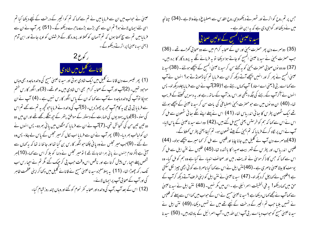عیسیٰ نے حواب میں ان سے فرمایا میں نے تم سے کہا کہ تم کو انجیر کے درخت کے نیچے دیکھا کیا تم اسی لئے ایمان لائے ہو؟ تم ان سے بھی بڑے بڑے ماحرے دیکھوگے۔ (51) پھر آپ نے ان سے فرمایا میں تم سے سچ <sub>ک</sub>حتا ہوں کہ تم آسمان کو *تھلا*اور پرورد گار کے فرشتوں کو او پر جاتے اور ابن آدم (یعنی سید ناعیسیٰ) پراترتے دیکھوگے۔



(1) پھر تیسرے دن قانا ئے گلی<mark>ں میں ایک شادی ہوئی اور سید ناعیسیٰ مسیح کی والدہ ماجدہ بھی وہاں</mark> موحبود تھیں۔ (2)آپ اور آپ کے صحابہ کرام بھی اس شادی میں مدعو تھے۔ (3)اور انگور کا رس ختم ہوجکا توآپ کی والدہ ماجدہ نے آپ سے کہا کہ ان کے پاس انگور کارس نہیں ہے ۔ (4) آپ نے ان سے فرمایا بی بی جی بہ کام آپ مجھ پر چھوڑ دیں۔ (5)آپ کی والدہ نے فرمایاحو تحچھ بہ تم سے کھے تم اس کی سنو۔(6)وہاں یہودیوں کی طہارت کے دستور کے موافق بتھر کے ج*ھ منگے رکھے* تھے اور ان میں دو دو تین تین من کی کنجائش تھی۔(7)آپ نے ان سے فرمایا کہ مٹکوں میں یا فی بھردو۔ پس انہوں نے ان کولیالب بھر دیا۔ (8) پھر آپ نے ان سے فرمایا اب لکال کرمیر مجلس کے پاس لے جاؤ۔ پس وہ لے گئے ۔ (9)جب میر مجلس نے وہ یا نی چکھاحوانگور کارس بن گیا تھا اور جا نتا نہ تھا کہ بہ کہاں سے آئی ہے (مگر خادم جنہوں نے پانی بھرا تعاجانتے تھے ) تو میر مجلس نے دلہا کو بلا کر اس سے کہا۔(10)ہر شخص پہلے احیا رس پیش کرتا ہے اور ناقص اس وقت حب پی کر حیک گئے گمر تم نے احیا رس اب تک رکھ چھوڑا تھا۔ (11) یہ پہلامعجزہ سید ناعیسیٰ مسح نے قانائے گلیل میں دکھا کر اپنی عظمت ظاہر کی اور آپ کے صحابی آپ پر ایمان لائے۔ (12) اس کے بعد آپ ،آپ کی والدہ اور صحابہ کفر نحوم کو گئے اور وہاں چند روز قبام کیا-

<sup>ج</sup>س پر تم روح کواترتے اور ٹھہرتے دیکھووہی روح ا<sub>لقلہ س</sub>ے اصطباع دینے والا ہے ۔(34) چنانچ<sub>ی</sub>ہ میں نے دیکھا اور گواہی دی ہے کہ یہ ابن اللہ ہے ۔

سید ناعیسیٰ المسیح کے اولین صحابی

(35) دوسرے دن پھر حصرت یحیٰ اور ان کے صحابہ کرام میں سے دو صحابی کھڑے تھے ۔ (36) جب حصرت یحییٰ نے سید نا عیسیٰ المسح کو جاتے ہوا دیکھا تو یہ فرمانے لگے یہ پرورد گار کا برہ بیں۔ (37) وہ دو نوں صحابی حصرت یحیٰ کو بہ بھتے سن کر سید ناعیسیٰ المسیح کے پیچھے ہولئے۔(38)سید نا عیسیٰ المسح نے پھر کراور امنیں پیچھےآتے دیکھ کران سے فرمایا تم کیا ڈھونڈتے ہو؟ امنوں نے آپ سے کہا اے ر بی (یعنی اے استاد ) آپ کہاں رہتے ہے ؟ (39)آپ نے ان سے فرما یا چلو دیکھ لو۔ پس ائنوں نے آکر آپ کے رہنے کی جگہ دیکھی اور اس روز آپ کے ساتھ رہے اور یہ دسویں تھنٹے کے قریب تعا۔ (40) ان دو نوں میں سے حبو حصرت یمی اصطباعی کی بات سن کر سید ناعیسیٰ کے پیچھے ہوئے تھے ایک شمعون پطرس کا سائی اندریاس تھا۔ (41) اس نے پہلے اپنے کگے سائی شمعون سے مل کر اس نے اس سے کہا کہ ہم کو خرستس یعنی مسح مل گئے ہیں۔(42) وہ اسے سید ناعیسیٰ کے پاس لایا۔ آپ نے اس پر لگاہ کرکے فرمایا کہ تم یحییٰ کے بیٹے شمعون ہو۔ تم کیفا یعنی پطرس کھلاؤ گے۔ (43)دوسرے دن آپ نے گلیل میں جانا چاہا اور فلپس سے مل کر <sub>ک</sub>ما میرے بیچھے ہولو۔ (44) فلپس اندریاس، اور پطرس کے شہر بیت صیدا کا باشندہ تھا۔(45) فلپس نے نتن ایل سے مل کر اس سے کہا کہ جس کا ذکر موسیٰ نے نوریت ، میں اور صحائف انبیاء نے کیا ہے وہ ہم کو مل گیا۔ وہ یوسف کا بیٹا عیسیٰ ناصری ہے۔(46) نتن ایل نے اس سے کہا کیا ناصرۃ سے کوئی اچھی جیپز لکل سکتی ہے ؟فلپس نے <sub>ک</sub>ماچل کر دیکھ لو۔ (47) سید ناعیسیٰ نے نتن ایل کواپنی طرف آتے دیکھ کرآپ کے حق میں کہا دیکھو! یہ فی الحقیقت اسرائیلی ہے ۔اس میں مگر نہیں۔ (48) نتن ایل نے سید ناعیسیٰ سے کہاآپ نے مجھے کہاں دیکھاہے ؟ سید ناعیسیٰ مسح نے اس کے حواب میں کہااس سے پہلے کہ فلپس نے تہیں بلایا جب تم انجیر کے درخت کے نیچے تھے میں نے تہیں دیکھا۔(49) نتن ایل نے سید ناعیسیٰ مسیح کوحواب دیا اسے رقی آپ ابن اللہ بیں۔ آپ اسرائیل کے بادشاہ بیں۔ (50) سید نا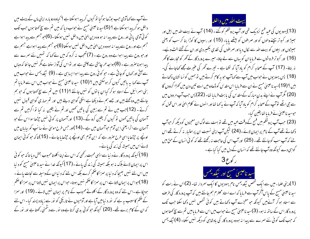نے آپ سے کہا آدمی حب بوڑھا ہو گیا تو کیوں کر پیدا ہوسکتا ہے ؟ کیاوہ دوبارہ اپنی ماں کے پیٹ میں داخل ہو کر پیدا ہوسکتا ہے ؟ (5)سید ناعیسیٰ مسیح نے حواب دیا کہ میں تم سے سچ کھتا ہوں حب تک کوئی آدمی پا نی اور رو<sub></sub>ح سے پیدا نہ ہو وہ دین ا<sub>ل</sub>یٰ میں داخل <sup>نہ</sup>یں ہوسکتا ۔(6)حو جسم سے پیدا ہوا ہے جسم ہے اور روح سے پیدا نہ ہووہ دین الهیٰ میں داخل نہیں ہوسکتا (6)حوجسم سے پیدا ہواہے جسم ہے اورحوروح سے پیدا ہواہے وہ روح ہے۔ (7) تعجب نہ کرو کہ میں نے کہا کہ تہییں نئے سمرے سے پیدا ہوناصرور ہے ۔ (8)ہواجد حر چاہتی ہے چلتی ہے اور نواس کی آواز سنتا ہے مگر نہیں جا نتا کہ وہاں سے آتی اور کھال کو جاتی ہے۔جو کوئی روح سے پیدا ہوا ایسا ہی ہے۔(9) نیکدیمس نے حواب میں آپ سے <sub>ک</sub>ما یہ باتیں کیوں کر ہوسکتی ہیں ؟ (10) سید ناعیسیٰ مسج نے حواب میں اس سے فرمایا تم بنی اسرائیل کے اس<sub>تل</sub>و ہوکر کیا ان با نوں کو نہیں جانتے ؟ (11) میں تم سے سچ <sub>ک</sub>ھتا ہوں کہ حو ہم جانتے ہیں وہ کھتے بیں اور جسے ہم نے دیکھا ہے اسکی گواہی دیتے ہیں اور تم ہماری گواہی قبول نہیں کرتے ۔ (12)جب میں نے تم سے زمین کی باتیں تھمیں اور تم نے یقین نہ کیا تو اگرمیں تم سے آسمان کی باتیں کھوں تو کیوں کر یقین کرو گے۔(13) اور آسمان پر کوئی نہیں جڑھاسوا اس کے حبو آسمان سے اترا یعنی ابن آدم حواسمان میں ہے ۔(14)اور *جس طرح موسیٰ نے سا*نپ کو بیابان میں اوپُجے پر جرِٹھایا اسی طرح صرور ہے کہ ابن آدم بھی اوپُجے پر جرِٹھایا جائے ۔ (15) تا کہ حو کوئی ایمان لائے اس میں ہمیشہ کی زند کی پائے۔

(16) کیونکہ پرورد گار نے دنیا سے ایسی محبت رکھی کہ اس نے اپنا اکلوتا محبوب بخش دیا تا کہ حبو کو ٹی اس پر ایمان لائے ہلاک نہ ہو بلکہ ہمیشہ کی زند کی پائے۔(17) کیونکہ خدا نے سید ناعیسیٰ مسیح کو د نیا میں اس لئے نہیں بھیجا کہ د نیا پر سمزا کاضحم کرے بلکہ اس لئے کہ د نیاان کے وسیلہ سے نجات یائے ۔ (18)حواس پر ایمان لاتا ہے اس پر سزا کا ضحم نہیں ہوتا۔ حواس پر ایمان نہیں لاتا اس پر سزا کا ضحم ہوجِکا ہے۔اس لئے کہ وہ پرورد گار کے اکلوتے محبوب کے نام پر ایمان نہیں لائے۔(19) اور سمزا کے حکم کاسبب یہ ہے کہ نور د نیامیں آیا ہے اور آدمیوں نے تاریکی کو نور سے زیادہ پسند کیا۔اس لئے کہ ان کے کام برے تھے۔ (20) کیونکہ حو کوئی بدی کرتا ہےوہ نور سے دشمنی رکھتا ہے اور نور کے بيت الله ميں داخلہ

(13) یہودیوں کی عبد فسح نزدیک تھی اور آپ پروشلم کو گئے ۔ (14) آپ نے بیت اللہ میں بیل اور بعیٹر اور کبوتر بیچنے والوں کو اور صرافوں کو بیٹھے پایا۔ (15) اور رسپوں کا کوڑا بنا کر سب کو یعنی بہیٹروں اور بیلوں کو بیت اللہ سے کال دیا اور صرافوں کی نقدی بکھیر دی اور ان کے تختے الٹ دیئیے۔ (16) اور کبو تر فروشوں سے فرمایاان کو یہاں سے لے جاؤ۔ میرے پرورد گار کے گھر کو تحارت کا گھر نہ بناؤ۔ (17) آپ کے صحابہ کرام کو باد آیا کہ لکھا ہے - تیرے گھر کی عنیرت مجھے کھاجائے گی۔ (18) پس یہودیوں نے حواب میں آپ سے کہاآپ حبوبہ کام کرتے ہیں تو ہمیں کو نسا نشان دکھاتے بیں ؟ (19)سید ناعیسیٰ مسیح نے ان سے فرمایا اس مقدس کو ڈھادومیں اسے تین دن میں کھڑا کردوں گا (20) گُرآپ نے اپنے بدن مبارک کے مقدس کی بابت فرمایا تھا۔ (22) پس جب آپ مردوں میں سے حی اٹھے توآپ کے صحابہ کرام کو باد آیا کہ آپ نے بہ کھا تھااور انہوں نے کلام الہیٰ اور اس قول کو حوسید ناعیسیٰ نے فرمایا تھا یقین کیا۔ (23) حب آپ پروشلم میں فسح کے وقت عبد میں تھے تو بہت سے لوگ ان معجزوں کو دیکھ کر حوآپ دکھاتے تھےآپ کے نام پراپمان لائے۔(24) لیکن آپ اپنی نسبت ان پراعتیار نہ کرتے تھے اس لئے کہ آپ سب کوجانتے تھے۔ (25) اور آپ اس کی حاجت نہ رکھتے تھے کہ کوئی انسان کے حق میں



گواہی دے کیونکہ وہ آپ جانتے تھے کہ انسان کے دل میں کیا کیا ہے ۔

(1)دینی علماء میں سے ایک شخص نیکدیمس نام یہودیوں کا ایک سمردار تھا۔ (2)اس نے رات کو سید ناعیسیٰ مسح کے پاس آکر آپ سے فرمایا کہ اے استاد محترم ہم جانتے ہیں کہ آپ پرورد گار کی طرف سے استاد ہو کر آئے ہیں کیونکہ حو معجزے آپ دکھاتے ہیں کوئی شخص نہیں دکھا سکتا جب تک یرورد گار اس کے ساتھ مہ ہو۔ (3)سید ناعیسیٰ مسیح نے حواب میں اس سے فرمایامیں تم سے سچ کھتا ہوں کہ جب تک کوئی نئے سرے سے پیدا نہ ہووہ پرورد گار کی بادشاہی کو دیکھ نہیں سکتا۔ (4) نیکدیمس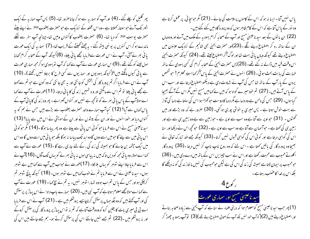پھر گلیل کو چلے گئے۔ (4) اور آپ کوسمار یہ سے ہو کر جاناصرور تھا۔ (5) پس آپ سمار یہ کے ایک شہر تک آئے حو سوخار کھلاتا ہے ۔وہ اس قطعہ کے نزدیک ہے حبوحصرت یعقوبﷺ نے اپنے بیٹے حصرت یوسف ﷺ کو دیا تھا۔ (6) حصرت یعقوب کاکنواں وہیں تھا۔چنانچہ آپ سفر سے ننکے ماندے ہوکراس کنویں پر یو نہی بیٹھ گئے - بہ چھٹے گھنٹے کے قریب تھا۔(7) سمار ہہ کی ایک عورت یا نی بھرنے آئی۔ آپ نے اس عورت سے فرمایا مجھے یا نی پلاؤ۔ (8) کیونکہ آپ کے صحابہ کرام تھانا مول لینے کو گئے تھے۔(9)اس سماری عورت نے آپ سے کہا کہ آپ نویہودی ہو کر مجھ سماری عورت سے یا نی کیوں مانگتے ہیں؟( کیونکہ یہودیوں اور سماریوں سے کسی طرح کا برتاؤ نہیں رکھتے )۔ (10) آپ نے اس سے فرما ما اگر تم پرورد گار کی بخشش کوجانتی اور بہ بھی جانتی کہ وہ کون ہے حبو تم سے کھتا ہے مجھے یا ٹی پلاؤ تو تم اس سے مانگتی اور و ہ تہیں زند کی کا یا ٹی دیتا۔ (11)عورت نے آپ سے کہا اےمولاآپ کے پاس یا فی بھر نے کو تو کچھ ہے نہیں اور کنواں گہراہے۔ پھروہ زند کی کا یا فی آپ کے پاس کھاں سے آیا؟ (12) کیا آپ ہمارے والد حصرت یعقوب سے بڑے ہیں جس نے ہم کو یہ کنواں دیا اور خود انہوں نے اور ان کے بیٹو ں نے اور ان کے مویشی نے اس میں سے پایا؟ (13) سید ناعیسیٰ مسیح نے اس سے فرمایا حو کوئی اس یا نی سے پیتا ہے وہ پھر پیاسا ہوگا ۔(14) مگر حوکوئی اس یا نی میں سے پئے گا حبومیں اسے دوں گاوہ ابد تک پیاسا نہ ہوگا بلکہ حبو یا نی میں اسے دوں گا وہ اس میں ایک حیثمہ بن جائے گا حبو ہمیشہ کی زند گی ، کے لئے جاری رہے گا۔(15) عورت نے آپ سے کھا اسے مولا، وہ یا نی محھ کودیں تاکہ میں نہ پیاسی ہوں نہ یا نی بھرنے کو یہاں تک آؤں۔(16 )آپ نے اس سے فرمایا جاؤ اپنے شوہر کو پہاں بلالاؤ۔ (17)عورت نے حواب میں آپ سے کہا میں بے شوہر ہوں۔سید ناعیسیٰ نے اس سے فرمایا تم نے خوب <sub>ک</sub>ہامیں بے شوہر ہوں۔ (18) کیونکہ پانچ شوہر تم کر چکی ہواور حس کے پاس تم اب ہووہ تہارا شوہر نہیں۔ یہ تم نے سچ کھا۔ (19) عورت نے آپ سے کہا اے مولامجھے معلوم ہوتاہے کہ آپ نبی بیں۔ (20) ہمارے باپ دادا نے اس پہاڑ پر پرستش کی اور آپ کہتے ہیں کہ وہ جگہ جہاں پرستش کرناچاہیے یروشکم میں ہے ۔ (21) آپ نے اس سے فرمایا اے بی بی میری بات کا یقین کرو کہ وہ وقت آتاہے کہ تم نہ تواس پہاڑ پر پرورد گار کی پرستش کروگے اور نہ یروشکم میں ۔(22) تم جسے نہیں جانتے اس کی پرستش کرتے ہو۔ ہم جسے جانتے ہیں اس کی

یاس نہیں آتا۔ایسا نہ ہو کہ اس کے کاموں پر ملامت کی جائے ۔ (21) مگر حبوسچائی، پر عمل کرتا ہے وہ نور کے پاس آتا ہے کہ اس کے کام ظاہر ہوں کہ وہ پرورد گاد میں گئے گئے ہیں۔ (22) ان یا نوں کے بعد سید ناعیسیٰ مسیح اور آپ کے صحابہ کرام یہودیہ کے ملک میں آئے اور وہ وباں ان کے ساتھ رہ کر اصطباع دینے لگے ۔(23)اور حصرت یحیٰی بھی شالیم کے نزدیک عینون میں اصطباع دیتے تھے کیونکہ وہاں یا فی بہت تھااور لوگ آکر اصطباع لیتے تھے۔ (24) کیونکہ حصرت یحییٰ اس وقت قبد میں ڈالے نہ گئے تھے۔ (25) پس حصرت یمی کے صحابہ کرام کی کسی یہودی کے ساتھ طہارت کی بابت بحث ہوئی۔(26) انہوں نے حصرت یحییٰ کے پاس آکر <sub>ک</sub>مااستاد محترم! حبوشخص یردن کے پار آپ کے ساتھ تھا جس کی آپ نے شہادت دی ہے دیکھواصطباغ دیتا ہے اور سب اس کے پاس آتے ہیں۔ (27) تم خود میرے گواہ ہو کہ میں نے <sub>ک</sub>ھامیں مسح نہیں مگر اس کے آگے بھیجا گیا ہوں۔ (29) حس کی دلہن ہے وہ دلہا ہے مگر دلہا کا دوست حو کھڑا ہوا اس کی سنتا ہے دلہا کی آواز سے بہت خوش ہوتا ہے ۔ پس میری بہ خوشی پوری ہو گئی۔ (30) صرور ہے کہ وہ بڑھے اور میں گھنٹول ۔ (31) حبواوپر سے آتا ہے وہ سب سے اوپر ہے ۔حبورٰ بین سے ہے وہ رہین ہی سے ہے اور زمین ہی کی کھتاہے ۔ حبواتسمان سے آتاہے وہ سب سے اوپر ہے ۔ (32) حبوتحچھ اس نے دیکھا اور سنا اس کی گواہی دیتا ہے اور کو ئی اس کی گواہی قبول نہیں کرتا۔(33) کیونکہ جسے اللہ تبارک تعالیٰ نے بھیجا وہ پرورد گار کی باتیں کھتا ہے ۔ اس لئے کہ وہ روح ناپ ناپ کر نہیں دیتا ۔(35) پرورد گار ا کلوتے محبوب سے محبت رکھتا ہے اور اس نے سب چیزیں اس کے باتھ میں دے دی ہیں۔ (36) حبومحبوب پر ایمان لاتا ہے ہمیشہ کی زند کی اس کی ہے لیکن حبومحبوب کی نہیں ما نتاز ند کی کو نہ دیکھے گا بلکہ اس پر خدا کاعضب رہتاہے۔



(1) پھر حب سید ناعیسیٰ مسج کومعلوم ہوا کہ دینی علماء نے سنا ہے کہ آپ یحییٰ سے زیادہ صحابہ بناتے اور اصطباع دیتے ہیں (2)(گوآپ خود نہیں بلکہ آپ کے صحابی اصطباع دیتے تھے )(3) توآپ یہودیہ چھوڑ کر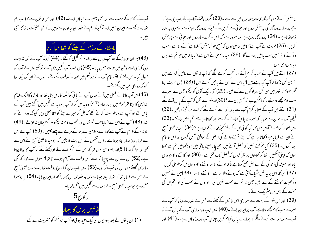آپ کے کلام کے سبب سے اور بھی بہتیرے ایمان لائے۔ (42) اور اس خانون سے کہا اب ہم تہارے کہنے سے ایمان نہیں لاتے کیونکہ ہم نے خود سن لیااورجانتے بیں یہ کہ فی الحقیقت دنیا کامنٹجی بين-

بادشاہ کے ملازم کے بیٹے کو شفا عطا کر نا

(43) پھر ان دوروز کے بعد آپ وہاں سے روانہ ہو کر گلیل کو گئے ۔ (44) کیونکہ آپ نے خود شہادت دی کہ نبی اپنےوطن میں عزت نہیں پاتا۔ (45) پس حب آپ گلیل میں آئے تو گلیلیوں نے آپ کو قبول کیا۔اس لئے کہ جینئے کام آپ نے پروشلم میں عبد کے وقت کئے تھے انہوں نے ان کودیکھا تھا کیونکہ وہ بھی عبد میں گئے تھے۔

(46) پس آپ قانائے گلیل میں آئے جہاں آپ نے یا نی کوانگور کارس بنایا تھااور بادشاہ کاایک ملازم تعاجس کا بیٹا کفر نحوم میں بیمار تھا- (47) وہ بہ سن کر کہ آپ یہودیہ سے گلیل میں آگئے ہیں آپ کے یاس گئے اور آپ سے درخواست کرنے لگے کہ چل کر میرے بیٹے کو شفا بحش دیں کیونکہ وہ مرنے کو تعا-(48) آپ نے اس سے فرمایا جب تم نشان اور عجیب کام نہ دیکھو ہر گزایمان نہ لاؤ گے۔(49) بادشاہ کے ملازم نے آپ سے کہا اے مولا میرے بچہ کے مرنے سے پہلے چلیں۔ (50) آپ نے اس سے فرمایا جاؤ تہمارا بیٹاجیتا ہے ۔اس شخص نے اس بات کا یقین کیا حوسید ناعیسیٰ مسح نے اس سے <sup>کھی</sup>ں اور چلا گیا۔ (51)وہ راستہ ہی میں تھا کہ اس کے نوکر اسے ملے او رکھنے لگے کہ آپ کا بیٹا جیتا ہے۔(52)اس نے ان سے پوجیا کہ اسے کس وقت سے آرام ہونے لگا تھا؟ انہو ں نے کہا کہ کل سا توپں گھنٹے میں اس کی شپ اتر کئی ۔(53) پس باپ جان گیا کہ وہی وقت تعاجب سید ناعیسیٰ مسح نے اس سے فرمایا تھا کہ تہارا بیٹاجیتا ہے اور وہ خود اور اس کاساراٹھرانہ ایمان لایا۔ (54) پہ دوسمرا معجزہ ہے حوسید ناعیسیٰ مسیح نے یہودیہ سے گلیل میں آکر دکھایا۔



پرستش کرتے ہیں کیونکہ نجات یہودیوں میں سے ہے۔(23) مگروہ وقت آتا ہے بلکہ اب ہی ہے کہ سچے پرستار پرورد گار کی پرستش روح اور سچائی سے کریں گے کیونکہ پرورد گار اپنے لئے ایسے ہی پرستار ڈھونڈتاہے - (24) پرورد گار روح ہے اور صرور ہے کہ اس کے پرستار روح اور سچائی سے پر ستش کریں۔ (25)عورت نے آپ سے کھامیں جانتی ہوں کہ مسیح حوخرستس کھلاتاہے آنے والا ہے۔ حب وہ آئے گا تو ہمیں سب باتیں بتادے گا۔ (26) سید ناعیسیٰ نے اس سے فرمایا کہ میں حو تم سے بول رباموں وی ہوں۔

(27) اتنے میں آپ کے صحابہ کرام آگئے اور تعجب کرنے لگے کہ آپ خانون سے باتیں کررہے ہیں تو بھی کسی نہ <sub>ک</sub>ما کہ آپ کیا چاہتے ہیں؟ یااس سے کس لئے باتیں کرتے ہیں ؟ (28) پس عورت اپنا گھر چھوڑ کر شہر میں چلی گئی اور لوگوں سے کھنے لگی ۔ (29) آؤ ۔ایک آدمی کودیکھو جس نے میرے سب کام مجھے بتادیے۔ کیاممکن ہے کہ مسیح یہی ہے ؟ (30)وہ شہر سے نکل کرآپ کے پاس آنے لگے (31) اتنے میں آپ کے صحابہ کرام آپ سے یہ درخواست کرنے لگے کہ اے مولائحچھ کھالیں۔(32) لیکن آپ نے ان سے فرمایا کہ میرے پاس کھانے کے لئے ایسا کھانا ہے جے تم نہیں جانتے ۔ (33) پس صحابہ کرام نے آپس میں <sub>کھ</sub>ا کیا کوئی ان کے لئے تحچھ کھانے کولایا ہے؟ (34) سید ناعیسیٰ مسح نے ان سے فرمایا میر اکھانا یہ ہے کہ اپنے بھیجنے والے کی مرحنی کے موافق عمل کروں اور اس کا کام پورا کروں ۔ (35) کیا تم <u>تھ</u>تے <sup>نہ</sup>یں کہ فصل آنے میں ابھی چار مہینے باقی بیں <sup>9</sup> دیکھو میں تم سے کھتا ہوں کہ اپنی آنکھیں اٹھا کر تھیتوں پر نظر کروں کہ فصل یک گئی ہے ۔ (36) اور کاٹنے والامزدوری یاتااور ہمیشہ کی زند کی کے لئے پھل جمع کرتا ہے تا کہ بونےوالااور کاٹنےوالادو نوں مل کر خوشی کریں۔ (37) کیونکہ اس پر یہ مثل ٹھیک آتی ہے کہ بونےوالا اور ہے۔ کاٹنےوالااور۔ (38)میں نے تمہیں وہ تھیت کاٹنے کے لئے بھیجا جس پر تم نے محنت نہیں کی ۔ اوروں نے محنت کی اور تم ان کی محنت کے بھل میں مثر یک ہوئے۔

(39) اور اس شہر کے بہت سے سماری اس خاتون کے کھنے سے جس نے شہادت دی کہ آپ نے میرے سب کام مجھے بتادیَے آپ پر ایمان لائے۔(40) پس جب وہ سماری آپ کے پاس آئے تو آپ سے درخواست کرنے لگے کہ ہمارے پاس قیام کریں جنانچہ آپ دوروز وہاں رہے ۔ (41) اور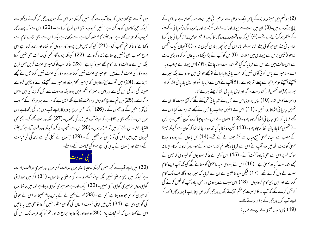میں تم سے سچ کھتا ہوں کہ بیٹا آپ سے کچھ نہیں کرسکتا سوا اس کے حبو پرورد گار کو کرتے دیکھتاہے کیونکہ حن کاموں کو وہ کرتا ہے انہیں محبوب بھی اسی طرح کرتا ہے۔ (20) اس لئے کہ پرورد گار محبوب کو عزیز رکھتا ہے اور جتنے کام حود کرتا ہے اسے دکھاتاہے بلکہ ا ن سے بھی بڑے کام اسے دکھائے گا تاکہ تم تعجب کرو۔ (21) کیونکہ جس طرح پرودر گار مردوں کو اٹھاتا اور زندہ کرتا ہے اسی طرح محبوب بھی جنہیں چاہتاہے زندہ کرتاہے ۔ (22) کیونکہ پرورد گار کسی کی عدالت بھی نہیں کرتا بلکہ اس نے عدالت کا سارا کام مجھے سپرد کیا ہے۔ (23) تا کہ سب لوگ میری عزت کریں جس طرح پرورد گار کی عزت کرتے ہیں۔ حبومیری عزت نہیں کرتاوہ پرورد گار کی عزت نہیں کرتا جس نے مجھے بھیجاہے۔(24) میں تم سے سچ کھتا ہوں کہ حبومیرا کلام سنتااور میرے بھیجنےوالے کا یقین کرتاہے ہمیشہ کی زند گی اس کی ہے اور اس پر سزا کا حکم نہیں ہوتا بلکہ وہ موت سے لکل کر زند گی میں داخل ہوگیاہے۔ (25)میں تم سے سچ کھتاہوں وہ وقت آتا ہے بلکہ ابھی ہے کہ مردے پرودرد گار کے محبوب کی آواز سنیں گے وہ جیئں گے ۔ (26) کیونکہ حس طرح پرورد گار اپنےآپ میں زند کی رکھتاہے اسی طرح اس نے مجھے بھی ہہ بخشاہے کہ اپنےآپ میں زند کی رکھوں۔ (27) بلکہ عدالت مجھے کرنے کا بھی اختیار بخشا۔اس لئے کہ میں آدام زاد ہوں۔ (28)اس سے تعجب نہ کرو کیونکہ وہ وقت آتاہے کہ جتنے قبروں میں بیں اس کی آواز سن کر نکلیں گے ۔ (29) جنہوں نے نیکی کی ہے زند گی کی قیامت کےواسطے اور حِنہوں نے بدی کی ہے سمزا کی قیامت کے واسطے۔

### يشادت

(30) میں اپنے آپ سے کچھ نہیں کرسکتا۔جیساسنتا ہوں عدالت کرتا ہوں اور میری عدالت راست ہے کیونکہ میں اپنی مرضی نہیں بلکہ اپنے بھیجنے والے کی مرضی چاہتا ہوں۔ (31) اگر میں خود اپنی گواہی دول تومیری گواہی سچی نہیں۔ (32) ایک اور ہے حومیری گواہی دیتاہے اور میں جا نتا ہوں کہ میری گواہی حووہ دیتا ہے سچی ہے ۔ (33) تم نے یحییٰ نے کے پاس پیام بھیجا اور اس نے سچائی کی گواہی دی ہے ۔(34) لیکن میں اپنی نسبت انسان کی گواہی منظور نہیں کرتا تو بھی میں بہ پاتیں اس لئے کھتا ہوں کہ تم نجات یاؤ۔ (35)وہ جلتا اور جبکتا ہوا جراع تھا اور تم کو کجھ عرصہ تک اس کی

(2) یروشکم میں بھیڑ دروازہ کے پاس ایک حوص ہے حبو عبرانی میں بیت حسدانملاتا ہے اور اس کے پانچ برآمدے ہیں۔(3) ان میں بہت سے بیمار اور اندھے اور لنگڑے اور پژمر دہ لوگ(حویا فی کے بلنے کے منتظر ہو کر) پڑے تھے۔(4) کیونکہ وہ وقت پر پرورد گار کاایک فرشتہ حوص پر اتر کریا نی بلایا کرتا تھا۔ یا نی بلتے ہی حو کو ئی پہلے اترتا سوشفا پاتااس کی حو تحچہ بیماری کیوں نہ ہو۔)(5)وہاں ایک شخص تھاحواڑ تیس برس سے بیماری میں مبتلا تھا۔ (6)اس کوآپ نے پڑا دیکھااور یہ جان کر کہ وہ بڑی مدت سے اس حالت میں ہے اس سے فرما یا کہ کیا تم تندرست ہونا چاہتے ہو؟(7)اس بیمار نے حواب دیا۔ اے مولا میرے پاس کوئی آدمی نہیں کہ جب یا نی ہلایا جائے تومجھے حوص میں اتارد ے بلکہ میرے پہنچتے پہنچتے دوسرامجھ سے پہلے اتر پڑتاہے ۔ (8)آپ نے اس سے فرما ما اٹھواور اپنی چاریا ئی اٹھا کر چلو پھرو۔ (9)وہ شخص فوراً تندرست ہو گیااور اپنی چاریا ئی اٹھا کرچلنے پھر نے لگا۔

وہ سبت کادن تھا۔ (10) پس یہودی اس سے جس نے شفا یا ئی تھی کھنے لگے کہ آج سبت کا دن ہے تہیں چاریائی اٹھانا روا نہیں۔ (11) اس نے انہیں حواب دیا جس نے مجھے تندرست کیا اسی نے مجھے فرمایا کہ اپنی چاریائی اٹھا کر چلو پھرو۔ (12) انہوں نے اس سے پوچیا کہ وہ کون شخص ہے جس نے تہیں کہاچاریا ئی اٹھا کر چلو پھرو- (13) لیکن وہ شفا پا گیا تھا وہ نہ جانتا تھا کہ کون ہے کیونکہ بھیڑ کے سبب سے سید ناعیسیٰ مسح وہاں سے تسٹریف لے گئے تھے۔ (14) ان یا توں کے بعد وہ سید نا عیسیٰ کو بیت اللہ میں ملا۔ آپ نے اس سے فرمایا دیکھو تم تندرست ہوگئے ہو۔ پھر گناہ نہ کرنا۔ ایسا نہ ہو کہ تم پر اس سے بھی زیادہ آفت آئے۔ (15) اس آدمی نے جاکر یہودیوں کو خبر دی کہ جس نے مجھے تندرست کیاوہ عیسیٰ ہے۔ (16) اس لئے یہودی سید ناعیسیٰ کوستانے لگے کیونکہ آپ ایسے کام سبت کے دن کرتے تھے۔ (17) لیکن سید ناعیسیٰ نے ان سے فرمایا کہ میرا پرورد گار اب تک کام کرتا ہے اور میں بھی کام کرتا ہوں۔ (18) اس سبب سے یہودی اور بھی زیادہ آپ کو قتل کرنے کی کوشش کرنے لگے کہ آپ نہ فقط سبت کا ضکم نوڑتے بلکہ پرورد گار کو خاص اپنا باپ (پرورد گار ) حہہ کر اپنے آپ کو پرورد گار کے برابر بناتے تھے۔ (19) پس سید ناعیسیٰ نےان سے فرمایا: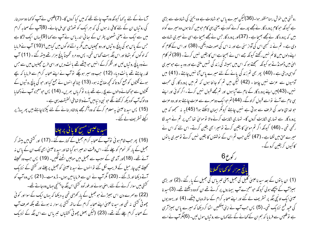آرمانے کے لئے ب*ی*کھا کیونکہ وہ آپ جانتے تھے کہ میں کیا کروں گا- (7)فلپس نے آپ کوکھا دوسودینار کی روٹیاں ان کے لئے کافی نہ ہوں گی کہ ہر ایک کو تھوڑی سی مل جائے۔ (8)آپ کے صحابہ کرام میں سے ایک نے یعنی شمعون پطرس کے سائی اندریاس نے آپ سے کہا (9) یہاں ایک لڑکا ہے جس کے پاس حبو کی پانچ روٹیاں اور دومجبلیاں ہیں مگر بہ اتنے لوگوں میں کیا ہیں؟ (10) آپ نے فرمایا کہ لوگوں کو بٹھاؤ اور اس جگہ بہت گھاس تھی۔ پس وہ مرد تخمیناً پانچ ہزار تھے بیٹھ گئے ۔ (11) آپ نےوہ پانچ روٹیاں لیں اور شکر کرکے انہیں حو بیٹھے تھے پانٹ دیں اور اسی طرح مچپلیوں میں سے جس قدر چاہتے تھے یانٹ دیا۔ (12) حب وہ سپر ہوچکے توآپ نے اپنے صحابہ کرام سے فرمایا کہ بچے ہوئے گھڑوں کو جمع کرو تا کہ کحچہ صائع نہ ہو۔ (13) چنانچہ انہوں نے جمع کیا اور حو کی پانچ روٹیوں کے گلڑوں سے حوکھانے والوں سے پچ رہے تھے بارہ ٹوکریاں بھریں۔ (14) پس حومعجزہ آپ نے دکھایا وہ لوگ آپ کو دیکھ کرکھنے لگے حبو نبی د نبامیں آنے والا تھا فی الحقیقت یہی ہے ۔ (15) پس سید ناعیسیٰ بہ معلوم کرکے کہ وہ آکر مجھے بادشاہ بنانے کے لئے پکڑناچاہتے ہیں پھر یہاڑ پر اکیلے تسٹریف لے گئے۔



(16) پھر حب شام ہوئی توآپ کے صحابہ کرام جھیل کے کنارے گئے۔(17) اور کشتی میں بیٹھ کر جھیل کے پار کفر نحوم کو چلے گئے۔اس وقت اندھیر اہو گیا تھااور سید ناعیسیٰ ابھی تک ان کے پاس نہ آئے تھے۔ (18)اور آندھی کے سبب سے جھیل میں موجیں اٹھنے لگیں۔ (19) پس جب وہ تھیتے تحییتے تین چار میل کے قریب لکل گئے توانہوں نے سید ناعیسیٰ کو جھیل پر چلتے اور کشتی کے نزدیک آتے دیکھا اور ڈرگئے ۔ (20) مگر آپ نے ان سے فرمایا میں ہوں۔ ڈرومت ۔ (21) پس وہ آپ کو گشتی میں سوار کرنے کے لئے راضی ہوئے اور فوراًوہ کشتی اس جگہ جا پہنچی حہاں وہ جاتے تھے۔ (22) دوسرے دن اس بھیڑنے جو جھیل کے بار کھڑی تھی یہ دیکھا کہ بہاں ایک کے سوا اور کوئی چھوٹی کشتی نہ تھی اور سبد ناعیسیٰ اپنے صحابہ کرام کے ساتھ کشتی پر سوار نہ ہوئے تھے بلکہ صرف آپ کے صحابہ کرام چلے گئے تھے۔ (23) (لیکن بعض چھوٹی کشتیاں تنبریاس سے اس جگہ کے نزدیک

روشنی میں حوش رہنا منظور ہوا۔(36)لیکن میرے پاس حبو شادت ہے وہ یمچیٰ کی شہادت سے بڑی ہے کیونکہ حو کام پرورد گار نے مجھے پورے کرنے کودیَے یعنی یہی کام حبومیں کرتا ہوں وہ میرے گواہ ہیں کہ پرورد گار نے مجھے بھیجا ہے ۔ (37)اور پرورد گار جس نے مجھے بھیجا ہے اسی نے میری شہادت دی ہے۔ تم نے نہ کسجی اس کی آواز سنی ہے اور نہ اس کی صورت دیکھی۔ (38) اور اس کے کلام کو اپنے دلوں میں قائم نہیں رکھتے کیونکہ جسے اس نے بھیجا ہے اس کا یقین نہیں کرتے ۔ (39) تم کلام الہٰیٰ میں ڈھونڈتے ہو کیونکہ سمجھتے ہو کہ اس میں ہمیشہ کی زند گی تہیں ملتی ہے اور وہ یہ ہے حومیری گواہی دیتی ہے۔(40) پھر بھی تم زند گی پانے کے لئے میرے پاس آنا نہیں چاہتے۔(41) میں آدمیوں سے عزت نہیں چاہتا ۔ (42) لیکن میں تم کو جانتا ہوں کہ تم میں پرورد گار کی محبت نہیں۔(43)میں اپنے پرورد گار کے نام سے آیا ہوں اور تم مجھے قبول نہیں کرتے ۔اگر کوئی اور اپنے ہی نام سے آئے تو اسے قبول کرلوگے۔ (44) تم حوا یک دوسرے سے عزت چاہتے ہو اور وہ عزت حو خدائ واحد کی طرف سے ہوتی ہے نہیں چاہتے کیونکر ایمان لاسکتے ہو؟ (45) ہہ نہ سمجھو کہ میں پرورد گار سے تہاری شکایت کروں گا۔ تہاری شکایت کرنے والا تو موسیٰ تھا جس پر تم نے امید لگا رکھی تھی ۔ (46) کیونکہ اگر تم موسیٰ کا یقین کرتے تو میرا بھی یقین کرتے۔ اس لئے کہ اس نے میرے حق میں لکھاہے۔ (47) لیکن جب تم اس کے یوشتوں کا یقین نہیں کرتے تومیری یا توں کاکیوں کریقین کروگے۔



(1) ان یا توں کے بعد سید ناعیسیٰ گلیل کی جھیل یعنی تبریاس کی جھیل کے بار گئے ۔(2) اور بڑی بھیڑاپ کے پیچھے ہولی کیونکہ حومعجزے آپ بیماروں پر کرتے تھے ان کووہ دیکھتے تھے۔ (3)سدنا عیسیٰ ایک اونچی جگہ پر تسٹریف لے گئے اور اپنے صحابہ کرام کے ساتھ وہاں بیٹھے۔ (4) اور یہودیوں کی عبد فسح نزد بک تھی۔ (5) پس جب آپ نے اپنی انکھیں اٹھا کر دیکھا کہ میرے پاس بھیڑ آرہی ہے توفلپس سے فرمایا کہ ہم ان کے تھانے کے لئے تھاں سے روٹیاں مول لیں۔ (6)مگر آپ نے اسے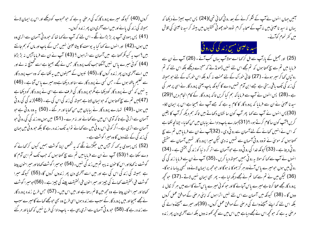کروں (40) کیونکہ میرے پرورد گارک کی مرحنی یہ ہے کہ حبومحبوب کو دیکھے اور اس پر ایمان لائے ہمیشہ کی زند کی پائے اور میں اسے آخری دن پھر زندہ کروں۔ (41) پس یہودی آپ پر بڑ بڑانے لگے۔اس لئے کہ آپ نے کہا تھا کہ حبورو ٹی آسمان سے اتری وہ میں ہوں۔(42) اور انہوں نے کہا کیا یہ یوسف کا بیٹاعیسیٰ نہیں جس کے باپ اور ماں کو ہم جانتے ہیں؟ اب یہ کیونکر کھتاہے میں آسمان سے اتراہوں ؟ (43) آپ نے ان سے فرمایا آپس نہ بڑ بڑاؤ (44) کوئی میرے پاس نہیں آسکتا جب تک پرورد گار جس نے مجھے بھیجا ہے اسے کھینچ نہ لے اور میں اسے آخری دن بھر زندہ کروں گا۔(45) نہیوں کے صحیفوں میں یہ لکھاہے کہ وہ سب پرورد گار سے تعلیم یافتہ ہوں گے۔حبں کسی نے پرورد گار سے سنااور دیکھا ہے وہ میرے یاس آتا ہے۔(46) یہ نہیں کہ کسی نے پرورد گار کودیکھاہے مگرحو پرورد گار کی طرف سے ہے اسی نے پرورد گار کو دیکھاہے (47)میں تم سے سچ کھتا ہوں کہ حبوابیمان لاتا ہے ہمیشہ کی زند کی اس کی ہے ۔ (48)زند کی کی رو ٹی میں ہوں ۔(49) تہارے پرورد گار نے بیابان میں من کھایا اور مر گئے ۔ (50) یہ وہ رو ٹی ہے حبو آسمان سے اتر ٹی ہے تا کہ آدمی اس میں سے کھانے اور نہ مرے۔ (51) میں ہوں وہ زند کی کی رو ٹی حو آسمان سے اتری ہے۔اگر کوئی اس رو ٹی میں سے کھائے توابد تک زندہ رہے گا بلکہ حورو ٹی میں جہان کی زند کی کے لئے دوں گا وہ میرا گوشت ہے ۔

(52) پس یہودی بہ کہہ کر آپس میں حبکڑنے لگے کہ بہ شخص اپنا گوشت ہمیں کیوں کرکھانے کو دے سکتا ہے ؟ (53) آپ نے ان سے فرمایا میں تم سے سچ کھتا ہوں کہ جب تک تم ابن آدم کا گوشت نه کھاؤاور اس کاحون نہ پیو تم میں زند کی نہیں۔ (54) حبومیر اگوشت کھاتا اور میراحون پیتا ہے ہمیشہ کی زند کی اس کی ہے اور میں اسے آخری دن پھر زندوں کروں گا۔(55) کیونکہ میرا گوشت فی الحقیقت کھانے کی چیز اور میراحون فی الحقیقت پینے کی چیز ہے ۔ (56)حومیرا گوشت کھاتا اور میراحون پیتا ہے وہ مجھ میں قائم رہتا ہے اور میں اس میں۔ (57) حس طرح زندہ پرورد گار نے مجھے بھیجا اور میں پرورد گار کے سبب سے زندہ ہوں اسی طرح وہ بھی حومجھے کھانے گا میرے سبب سے زندہ رہے گا۔ (58) حبورو ٹی آسمان سے اتری یہی ہے - باپ دادا کی طرح نہیں کہ کھایااور مر گئے

آئیں حہاں انہوں نے آپ کے شکر کرنے کے بعد رو ٹی محائی تھی)(24) پس جب بھیڑنے دیکھا کہ یہاں نہ سید ناعیسیٰ بیں نہ آپ کے صحابہ کرام تووہ خود چھوٹی کشتیوں میں بیٹھ کر سید ناعیسیٰ کی تلاش میں کفر نحوم کوآئے۔



(25) اور جھیل کے پارآپ سے مل کر <sub>ک</sub>ما اے مولاآپ یہاں کب آئے ۔ (26) آپ نے ان سے فرمایا میں تم سے سچ کھتا ہوں کہ تم مجھے اس لئے نہیں ڈھونڈتے کہ معجزے دیکھے بلکہ اس لئے کہ تم روٹیاں کھاکر سپر ہوئے ۔ (27) فانی خوراک کے لئے محنت نہ کرو بلکہ اس خوراک کے لئے حبو ہمیشہ کی زند کی تک یاقی رہتی ہے جسے ابن آدم تہیں دے گا کیونکہ پاپ یعنی پرورد گار نے اسی پر مہر کی ہے۔(28) پس انہوں نے آپ سے فرمایا کہ ہم کیا کریں تاکہ پرورد گار کے کام انحام دیں؟(29) سید نا عیسیٰ نے ان سے فرمایا کہ پرورد گار کا کام بہ ہے کہ جسے آپ نے بھیجا ہے اس پر ایمان لاؤ۔ (30) پس انہوں نے آپ سے کہا پھر آپ کون سا نشان دکھاتے ہیں تاکہ ہم دیکھ کرآپ کا یقین کریں ؟ آپ کون سا کام کرتے ہو۔؟ (31)ہمارے باپ دادانے بیابان میں من کھایا۔ چنانچہ لکھاہے کہ اس نے انہیں کھانے کے لئے آسمان سے رو ٹی دی۔ (32)آپ نے ان سے فرمایامیں تم سے سچ کھتا ہوں کہ موسیٰ نے تووہ رو ٹی آسمان سے تہیں نہ دی لیکن میرا پرورد گار تہیں آسمان سے حقیقی رو ٹی دیتا ہے ۔ (33) کیونکہ خدا کی رو ٹی وہ ہے حواسمان سے اتر کر دینا کو زند کی بخشتی ہے ۔ (34) ائنوں نے آپ سے کہا کہ مولا یہ رو ٹی ہمیں ہمیشہ دیا کریں ۔(35) آپ نے ان سے فرمایا زند کی کی رو ٹی میں ہوں حومیرے پاس آئے وہ ہر گز بھوکا نہ ہوگا اور حبومجھ پر ایمان لائے وہ کبھی پباسا نہ ہوگا-(36) لیکن میں نے تم سے کہا تم نے مجھے دیکھ لباہے - پھر بھی ایمان نہیں لاتے ۔(37) حو تحچھ پرورد گارمجھے عطا کرتا ہے میرے پاس آجائے گا اور حبو کوئی میرے پاس آئے گا اسے میں ہر گز نکال نہ دوں گا ۔ (38) کیونکہ میں آسمان سے اس لئے نہیں اتراہوں کہ اپنی مرضی کے موافق عمل کروں بلکہ اس لئے کہ اپنے بھیجنے والے کی مرحنی کے موافق عمل کروں۔ (39)اور میرے بھیجنے والے کی مر صنی پہ ہے کہ حو تحچھ اس نے مجھے دیاہے میں اس میں سے تحچھ کھو نہ دول بلکہ اسے آخری دن پھر زندہ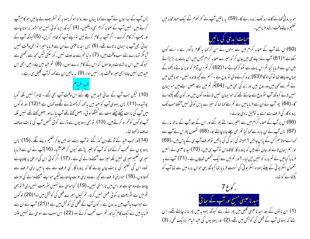پس آپ کے سائیوں نے آپ سے کہا یہاں سے روانہ ہو کر یہودیہ کو تسٹریف لے جائیں حو کا م آپ کرتے ہیں انہیں آپ کے صحابہ کرام بھی دیکھیں۔ (4) کیونکہ ایسا کوئی نہیں حومشور نہ ہونا چاہے اور چھپ کر کام کرے ۔اگر آپ یہ کام کرتے ہیں تو اپنے آپ کوظاہر کریں۔ (5)کیونکہ آپ کے ہجا ئی بھی آپ پر ایمان نہ لائے تھے۔ (6) پس سید ناعیسیٰ نے ان سے فرمایا میرا نوابھی وقت نہیں آیا مگر تہارے لئے سب وقت بیں۔ (7) د نیا تم سے عداوت نہیں رکھ سکتی لیکن مجھ سے رکھتی ہے کیونکہ میں اس پر شہادت دیتا ہوں کہ اس کے کام برے ہوں۔ (8) تم عید میں جاؤ- میں ابھی اس عید میں نہیں جاتا ابھی میر اوقت پورا نہیں ہوا۔ (9) یہ باتیں ان سے کہہ کرآپ گلیل ہی رہے ۔

(10) لیکن جب آپ کے سائی عید میں چلے گئے اس وقت آپ بھی گئے ۔ ظاہراً نہیں بلکہ گویا پوشیدہ۔(11) پس یہودی آپ کوعید میں یہ کہہ کرڈھونڈنے لگےوہ کھاں ہے ؟ (12) اور لوگوں میں آپ کی بابت چپکے چپکے بہت سے گفتگو ہو ئی۔ بعض کھتے تھے آپ پارسااور بعض کھتے تھے ہنیں بلکہ آپ لوگوں کو گھراہ کرتے ہیں۔ (13) تو بھی یہودیوں سے ڈرسے کوئی شخص آپ کی بابت صاف صاف نەڭمىتا تھا-

(14)اور حب عید کے آدھے دن گذرگئے نو آپ بیت اللہ میں جاکر تعلیم دینے لگے ۔(15) پس یہودیوں نے تعجب کرکے <sub>ک</sub>ما کہ آپ کو بغیر پڑھے کیوں کر علم آگیا۔ (16)آپ نے ان سے فرمایا میری تعلیم میری نہیں بلکہ میرے بھیجنےوالے کی ہے۔ (17) اگر کوئی اس کی مرحنی پر چلناچاہے تووہ اس کی تعلیم کی بابت جان جائے گا کہ پروردگار کی طرف سے ہے یا میں اپنی طرف سے تحہ اسوں۔(18) حبوا بنی طرف سے کچھ ہے وہ اپنی عزت چاہتاہے لیکن حبواپنے بھیجنے والے کی عزت چاہتا ہے وہ سچاہے اور اس میں ناراستی نہیں۔ (19) کیاموسیٰ نے تہیں سٹریعت نہیں دی؟ تو بھی تم میں سے سٹریعت پر کوئی عمل نہیں کرتا۔ تم کیوں میرے قتل کی کوشش میں ہو؟ (20) لوگوں نے حواب دیا آپ میں بدروج ہے ۔ کون آپ کے قتل کی کوشش میں ہے ؟ (21) آپ نے ان سے فرمایا میں نے ایک کام کیااور تم سب تعجب کرتے ہو۔(22) اس سبب سے موسیٰ نے شہیں ختنہ

حویہ رو ٹی محالے گاوہ ابد تک زندہ رہے گا۔ (59) پہ باتیں آپ نے کفرنحوم کے ایک عباد تخانہ میں تعليم ديستے وقت ارشاد فرمائيں۔



(60)اس لئے آپ کے صحابہ کرام میں سے بہتوں نے سن کر <sub>ک</sub>ہا بہ کلام ناگوار ہے ۔ اسے کون سکتاہے ؟ (61) آپ نے اپنے حی میں جان کر کہ میرے صحابہ کرام آبس میں اس بات پر بڑبڑاتے بیں ان سے فرمایا کیا تم اس بات سے ٹھوکر کھاتے ہو؟ (62)اگر تم ابن آدم کو اوپر جاتے دیکھو گے جہاں وہ پہلے تھا تو کیا ہو گا؟(63)زندہ کرنےوالی توروح ہے ۔حبہم سے کحچھ فائدہ نہیں۔حوباتیں میں نے تم سے کہی بیں وہ روح بیں اور زند گی بھی بیں۔ (64) گُر تم میں سے بعض ایسے بیں حوالیمان نہیں لائے کیونکہ آپ سٹروع سے جانتے تھے کہ حبوایمان نہیں لاتے وہ کون بیں اور کون مجھے پکڑوائے گا۔ (64) پھرآپ نےان سے فرمایامیں نے تم سے کہا تھا کہ میرے پاس کوئی نہیں آسکتاجب تک پرورد گار کی طرف سے اسے یہ نوفیق نہ دی جائے۔

(66)اس پرآپ کے صحابہ کرام میں سے بہتیرے الٹے پھر گئے اور اس کے بعد آپ کے ساتھ نہ رہے (67) پس آپ نے ان بارہ سے کہا کیا تم بھی چلے جانا چاہتے ہو۔ (68) شمعون پطرس نے آپ سے کھااےمولاہم کس کے پاس جائیں ؟ہمیشہ کی زند گی کی باتیں توصرف آپ ہی کے پاس بیں۔(69) اور ہم ایمان لائے اور جان گئے ہیں کہ پرورد گار کا قدوس نوآپ ہی ہیں۔ (70)سید ناعیسیٰ نے انہیں فرمایا کیامیں نے تم مارہ کو نہیں ج<sub>ی</sub>ں لیا۔ <sup>9</sup>اور تم میں سے ایک شخص شیطان ہے۔(71) آپ نے یہ شعمون اسکر یو ٹی کے بیٹے یہوداہ اسکریو ٹی کی نسبت فرمایا تھا کیونکہ یہی حوان بارہ میں سے تھا آپ کو یکڑوانے کو تھا۔

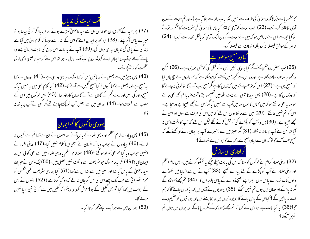

(37) پھر عمد کے آخری دن حوفاص دن ہے سید ناعیسیٰ کھڑے ہوئے اور فرمایاا گر کو ٹی پباسا ہو تو میرے پاس آکر پئے ۔ (38) حبومجھ پر ایمان لائے گا اس کے اندر سے جیسا کہ کلام الہیٰ میں آیا ہے زند کی کے پانی کی ندیاں جاری ہوں گی۔(39) آپ نے یہ بات اس روح کی بابت فرمائی جسے وہ پانے کوتھے حوآپ پر ایمان لائے کیونکہ روح اب تک نازل نہ ہوا تھا اس لئے کہ سید ناعیسیٰ ابھی اپنی عظمت کو نہ بہنچے تھے۔

(40) پس سِیٹر میں سے بعض نے یہ باتیں سن کر کہا بیٹنک ہہ یہی وہ نبی ہے۔(41) اوروں نے کہا یہ مسیح ہے اور بعض نے <sub>کھل</sub>ا کیوں؟ کیا مسیح گلیل سے آئے گا۔ (42) کیا کلام ال<sub>ح</sub>لٰ میں بہ نہیں آما کہ مسح داؤد کی نسل اور بیت کحم کے گاؤں سے آئے گا جہاں کا داؤد تھا ؟(43) پس لوگوں میں اس کے سبب سے اختلاف ہوا۔ (44) اور ان میں سے بعض آپ کو پکڑنا چاہئے تھے مگر کسی نے آپ پر باتھ نہ دكالا-

# يهودي حافحموں كالخم ايمان

(45) پس پبادے امام اعظم اور دینی علماء کے پاس آئے اور انہوں نے ان سے کہا تم اسے کیوں نہ لائے۔ (46) پیادوں نے حواب دیا کہ انسان نے کسجی ایسا کلام نہیں کیا۔(47) دینی علماء نے انہیں حواب دیا کیا تم بھی گھراہ ہوگئے ؟(48) سِلاامام اعظم یا دینی علماء میں سے بھی کوئی اس پر ایمان لایا ؟(49) مگر بہ عام لوگ حبو سٹریعت سے واقف نہیں لعنتی ہیں۔(50) نیکدیمس نے حبو پہلے سبد ناعیسیٰ کے پاس آیا تھا اور اننی میں سے تھا ان سے کہا (51) کیا ہماری سٹریعت کسی شخص کو مجرم ٹھہراتی ہے جب تک پہلے اس کی سن کر جان نہ لے کہ وہ کیا کرتا ہے ؟ (52) انہوں نے اس کے حواب میں <sub>ک</sub>ہا کیا تم بھی گلیل کے ہو؟ تلاش کرو اوردیکھو کہ گلیل میں سے کوئی نبی بریا <sup>نہ</sup>یں ہونے کا۔

(53) پھر ان میں سے ہر ایک اپنے گھر کو چلا گیا۔

کا حکم دیا ہے (حالانکہ وہ موسیٰ کی طرف سے نہیں بلکہ باپ دادا سے جلاآیا ہے )۔اور تم سبت کے دن آدمی کاختنہ کرتے ہو۔ (23) حب سبت کوآدمی کاختنہ کیاجاتا تاکہ موسیٰ کی سٹریعت کاضحم نہ ٹوٹے تو کیامجھ سے اس لئے ناراض ہو کہ میں نے سبت کے دن ایک آدمی کو بالکل تندرست کردیا ؟ (24) ظاہر کےموافق فیصلہ یہ کرو بلکہ انصاف سے فیصلہ کرو۔

## کیاوہ مسح موعود ہے

(25) تب بعض پروشلمی کھنے لگے کیا یہ وہی نہیں جس کے قتل کی کوشش ہورہی ہے ۔ (26) لیکن دیکھو یہ صاف صاف کھتاہے اور وہ اس سے کجھ نہیں کہتے۔ کیا ہوسکتاہے کہ سمر داروں نے سچ جان لیا کہ مسج یہی ہے ؟ (27) اس کو توہم جانتے ہیں کہ کہاں کاہے مگر مسح حب آئے گا تو کوئی نہ جانے گا کہ وہ کہاں کا ہے۔ (28) پس سید ناعیسیٰ نے بیت اللہ میں تعلیم دیتے وقت فرمایا تم مجھے بھی جانتے ہواور بہ بھی جانتے ہو کہ میں کہاں کا ہوں اور میں آپ سے نہیں آپامگر حس نے مجھے بھیجا ہے وہ سچاہے۔ اس کو تم نہیں جانتے۔(29) میں اسے جا نتا ہوں اس لئے کہ میں اس کی طرف سے ہوں اور اسی نے مجھے بھیجا ہے ۔(30) پس وہ آپ کو پکڑنے کی کوشش کرنے لگے لیکن اس لئے کہ آپ کاوقت ابھی نہ آیا تھا کسی نے آپ پر ہاتھ نہ ڈالا۔ (31) مگر بھیڑ میں سے بہتیرے آپ پر ایمان لائے اور کھنے لگے کہ مسح حب آئے گا تو کیاان سے زیادہ معجزہے دکھائے گاحواس نے دکھائے ؟

گرفتاری کی سازش (32) دینی علماء کرام نے لوگوں کو سنا کہ اس کی بابت چپکے چپکے یہ گفتگو کرتے ہیں۔ پس امام اعظم

اور دینی علماء نے آپ کو پکڑے کے لئے پیادے بھیجے۔(33) آپ نے ان سے فرمایا میں تھوڑے د نوں تک تمہارے یا س ہوں۔ پھر اپنے بھیجنے والے کے پاس چلاجاؤں گا- (34) تم مجھے ڈھونڈوکے مگر نہ یاؤگے اور حہاں میں ہوں تم نہیں آئیکتے۔(35) یہودیوں نے آپس میں کہا یہ کہاں جائے گا کہ ہم اسے نہ پائیں گے ؟ کیاان کے پاس جائے گا حبو یونا نیوں میں جا بحارہتے ہیں اور یونا نیوں کو تعلیم دے گا؟(36) یہ کیا بات ہے حواس نے تھی کہ تم مجھے ڈھونڈو گے مگر نہ یا وَ گے اور جہاں میں ہوں تم نهير سمكته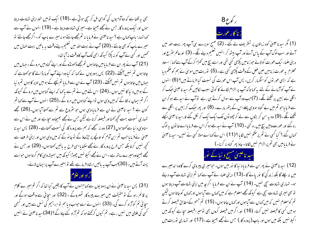بھی بہ لکھاہے کہ دوآدمیوں کی گواہی مل کر سچی ہوتی ہے۔(18) ایک تومیں خود اپنی شہادت دیتا ہوں اور ایک پرورد گار جس نے مجھے بھیجاہے۔میری شہادت دیتا ہے۔(19) انہوں نے آپ سے <sup>س</sup>کہا تہارا باپ کہاں ہے <sup>9</sup>سید ناعیسیٰ نے فرمایا نہ تم مجھے جانتے ہو نہ میرے باپ کو۔اگرمجھے جانتے تو میرے پاپ کو بھی جانتے ۔(20) آپ نے بیت اللہ میں تعلیم دیتےوقت ہہ پاتیں بیت المال میں تحمهيں اور کسی نے آپ کو نہ پکڑا کیونکہ ابھی تک آپ کاوقت نہ آیا تھا۔ (21) آپ نے پھر ان سے فرمایامیں جاتا ہوں تم مجھے ڈھونڈوگے اور اپنے گناہ میں مروکے۔ جہاں میں جاتا ہوں تم نہیں آئیکتے ۔(22) پس یہودیوں نے کہا کہ کیاوہ اپنے آپ کو مارڈالے گا حوکھتاہے کہ <u> صاں میں جاتا ہوں تم نہیں آسکتے۔ (23) آپ نے ان سے فرمایا تم نیچے کے ہو میں اوپر کا ہوں تم د نیا</u> کے ہومیں د نیا کا نہیں ہوں ۔(24) اس لئے میں نے تم سے بہ کہا کہ اپنے گناہوں میں مروکے کیونکہ اگر تم ایمان نہ لاؤ گے کہ میں وہی ہوں تواپنے گناہوں میں مرو گے۔(25) انہوں نے آپ سے کہا تم کون ہے ؟ سید ناعیسیٰ نے ان سے فرمایا وہی ہوں جو سٹروع سے تم سے کھتا آیا ہوں۔(26) مجھے تہاری نسبت بہت کچھ کھنااور فیصلہ کرنا ہے لیکن جس نے مجھے بھیجاوہ سچاہے اور میں نے اس سے سناوہی د نیاسے کھتا ہوں (27) وہ نہ سمجھے کہ ہم سے پرورد گار کی نسبت کھتاہے۔(28) پس سید نا عیسیٰ نےفرمایا جب تم ابن آدم کو اونچے پر چڑھاؤ گے تو جا نو گے کہ میں وہی ہوں اور اپنی طرف سے تحجیہ نہیں کرتا بلکہ حس طرح پرورد گار نے مجھے سکھایا اسی طرح یہ پاتیں کہتا ہوں۔ (29) اور حس نے مجھے بھیجاوہ میرے ساتھ ہے -اس نے مجھے اکیلا نہیں چھوڑا کیونکہ میں سمیشہ وسی کام کرتا ہوں حواسے پسند آتے ہیں۔ (30) جب آپ یہ پاتیں ارشاد فرمارہے تھے تو بہتیر سے آپ پر ایمان لائے۔

(31) پس سید ناعیسیٰ نے ان یہودیوں سے کہاجنہوں نے آپ کا یقین کیا تھا کہ اگر تم میر ے کلام پر قائم رہو گے تو حقیقت میں میرے پیروکار ٹھہروگے ۔ (32) اور سجائی سے واقف ہوگے اور سچائی تم کوآزاد کرے گی۔ (33) انہوں نے اسے حواب دیا ہم توابراہیم کی نسل سے ہیں اور کسجی کسی کی علامی میں نہیں رہے۔ تم کیوں کرکھتے ہو کہ تم آزاد کئے جاؤ گے؟ (34)سید ناعیسیٰ نے انہیں



(1) مگر سید ناعیسیٰ کوہ زیتون پر تسٹریف لے گئے ۔ (2) صبح سویرے ہی آپ پھر بیت اللہ میں آئے اور سب لوگ آپ کے پاس آئے اور آپ بیٹھ کر انہیں تعلیم دینے لگے۔ (3) اورعالم سٹرع اور دینی علماء ایک عورت کولائے حوز نامیں پکڑی گئی تھی اور اسے بیچ میں کھڑا کرکے آپ سے کھا : استاد محترم یہ عورت زنامیں عین فعل کے وقت پکڑی گئی ہے۔(5) توریت میں موسیٰ نے ہم کو حکم دیا ہے کہ ایسی عور توں کو سنگیار کریں۔ پس آپ اس عورت کی نسبت کیا فرماتے ہیں؟ (6) انہوں نے آپ کوآزمانے کے لئے بیرکھا تا کہ آپ پر الزام لگانے کا کوئی سبب کالیں مگر سید ناعیسیٰ حبک کر انگلی سے زمین پر لکھنے لگے۔ (7)حب وہ آپ سے سوال کرتے ہی رہے توآپ نے سیدھے ہو کر ان سے فرمایا حو تم میں بے گناہ ہووہی پہلے اس کے بتھر مارے۔ (8) اور بھر حبک کر زمین پر انگلی سے لکھنے لگے ۔(9) وہ یہ سن کر بڑوں سے لے کر چھوٹوں تک ایک ایک کر نکل گئے اور سید ناعیسیٰ اکیلے رہ گئے اور عورت وہیں بیچ میں رہ کئی۔(10) آپ نے سیدھے ہو کر اس سے فرمایا اے خا نون یہ لوگ سمہاں گئے ؟ کیا کسی نے تم پر حکم منہیں لگایا ؟ **(11)** اس نے <sub>ک</sub>ہا اے مولا کسی نے منہیں۔ سید ناعیسیٰ نے فرمایامیں بھی تم پرالزام نہیں لگاتا۔جاؤ پھر گناہ نہ کرنا۔)

# سید ناعیسیٰ مسیح د نباکے نور

(12) سید ناعیسیٰ نے پھر ان سے فرمایاد نیا کا نور میں ہوں۔ حومیر ی پیروی کرے گاوہ اندھیرے میں نہ چلے گا بلکہ زند کی کا نور یائے گا۔(13) دینی علماء نے آپ سے کہا تم اپنی شہادت آپ دیتے ہو۔ تہاری شہادت سچی نہیں۔ (14) آپ نے ان سے فرمایا اگر جہ میں اپنی شادت آپ دیتا ہوں تو بھی میری شادت سچی ہے کیونکہ مجھے معلوم ہے کہ میں کہاں سے آیا ہوں اور کہاں کوجاتا ہوں لیکن تم کومعلوم نہیں کہ میں کہاں سے آیاہوں اور کہاں جاتا ہوں۔ (15) تم جسم کےمطابق فیصلہ کرتے ہومیں کسی کا فیصلہ نہیں کرتا۔ (16) اور اگرمیں فیصلہ کروں بھی تومیرا فیصلہ سچاہے کیونکہ میں اکیلا نہیں بلکہ میں ہوں اور پاپ (پرورد گار) جس نے مجھے بھیجاہے ۔(17) اور تہاری توریت میں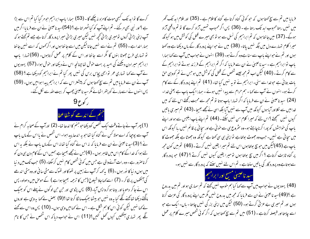کرے گا توابد تک کبھی موت کامزہ نہ چکھے گا۔ (53) ہمارا باپ ابراہیم حومر گیا کیا تم اس سے بڑا ہے ؟ اور نبی بھی مرگئے۔ تم اپنے آپ کو کیا ٹھہراتا ہے ؟ (54)سید ناعیسیٰ نے ان سے فرمایا اگر میں آپ اپنی بڑا ئی کروں تومیری بڑا ئی تحچہ نہیں لیکن میری بڑا ئی میرا پرورد گار کرتاہے جسے تم پھتے ہو کہ ہمار اخدا ہے ۔ (55) تم نے اسے نہیں جانالیکن میں اسے جا نتا ہوں اور اگر <sub>محم</sub>وں کہ اسے نہیں جا نتا تو تہاری طرح جھوٹا بنوں گا مگر اسے جا نتا اور اس کے کلام پر عمل کرتاہوں۔ (56) تہارا ماپ ابراہیم میرا دن دیکھنے کی امید پر بہت حوش تھا چنانچہ اس نے دیکھا اور حوش ہوا۔(57) یہودیوں نے آپ سے کہا تہاری عمر توابھی پچاس برس کی نہیں پھر کیا تم نے ابراہیم کودیکھاہے ؟ (58) آپ نے ان سے فرمایا میں تم سے سچ کھتا ہوں کہ پیشنر اس سے کہ ابراہیم پیدا ہوا میں ہوں۔ (59) پس انہوں نے اسے مارنے کو پتھر اٹھائے مگر سید ناعیسیٰ جیپ کر بیت اللہ سے لکل گئے۔

جنم کے اندھے کو شفاعطا

(1) بھرآپ نے جاتےوقت ایک شخص کودیکھاحوجنم کا اندھا تھا۔ (2) اورآپ کے صحابہ کرام نے آپ سے پوچیا کہ اے مولا کس نے گناہ کیا تھا حو یہ اندھا پیداہوا۔ اس شخص نے یا اس کے ماں باپ نے ؟ (3)سید ناعیسیٰ نے ان سے فرمایا کہ یہ اس نے گناہ کیا تھانہ اس کے ماں پاپ نے بلکہ یہ اس لئے ہوا کہ خدا کے کام اس میں ظاہر ہوں ۔ (4)جس نے مجھے بھیجا ہے ہمیں اس کے کام دن ہی دن کو کرناصرور ہے ۔وہ رات آنے والی ہے جس میں کوئی شخص کام نہیں کرسکتا۔ (5) جب تک میں د نبا میں ہوں د نیا کا نور ہوں ۔(6) پہ کہہ کر آپ نے زمین پر تھوکااور تھوک سے مٹی سا فی اور وہ مٹی اندھے کی آنکھوں پر لگا کر ۔ (7) اسے کہا جاؤ شیلوخ (جس کا ترحمہ بھیجا ہوا ہے ) کے حوص میں دھولو۔ پس اس نے جاکر دھویا اور بینا ہوکرواپس آیا۔(8) پس پڑوسی اور حن حن لوگوں نے پہلے اس کو بھیک مانگتے دیکھا تعاکھنے لگے کیا یہ وہ نہیں جو بیٹھا بھیک مانگا کرتا تھا ؟(9) بعض نے کہا یہ وہی ہے اوروں نے <sub>ک</sub>ما نہیں لیکن کوئی اس کا ہم شکل ہے ۔ اس نے <sub>ک</sub>مامیں وہی ہوں۔ (10) پس وہ اس سے کھنے گھ پھر تہاری آنکھیں کیوں تھل گئیں؟(11) اس نے حواب دیا کہ اس شخص نے حس کا نام

فرمایا میں تم سے سچ کھتا ہوں کہ حبو کوئی گناہ کرتا ہے گناہ کا غلام ہے۔(35) اور غلام ابد تک گھر میں نہیں رہتا محبوب ابد تک رہتا ہے ۔ (36) پس اگر محبوب تہیں آزاد کرے گا تو تم واقعی آزاد ہوگے۔ (37) میں جانتا ہوں کہ تم ابراہیم کی نسل سے ہو تو بھی میرے قتل کی کوشش میں ہو کیونکہ میرا کلام تہارے دل میں جگہ نہیں پاتا۔ (38) میں نے حوایئے پرورد گار کے ہاں دیکھا ہے وہ کھتا ہوں اور تم نے حواسے ماپ سے سنا ہے وہ کرتے ہو۔ (39) انہوں نے حواب میں آپ سے کہا ہمارا باپ توابراہیم ہے ۔سید ناعیسیٰ نے ان سے فرمایا کہ اگر تم ابراہیم کے فرزند ہوتے توابراہیم کے سے کام کرتے۔(40) لیکن اب تم مجھ جیسے شخص کے قتل کی کوشش میں ہو جس نے تم کووہی حن بات بتائی ہے حوضداسے سنی۔ ابراہیم نے توبہ نہیں کیا تھا۔ (41) تم اپنے پرورد گار کے سے کام کرتے ہو۔انہوں نے آپ سے کہا - ہم حرام سے پیدا نہیں ہوئے - ہماراایک باپ ہے یعنی خدا-(24) سید ناعیسیٰ نے ان سے فرمایا کہ اگر تہارا پاپ ہوتا تو تم مجھ سے محبت رکھتے اس لئے کہ میں خدامیں سے نکلااور آباہوں کیونکہ میں آپ سے نہیں آیا بلکہ اسی نے مجھے بھیجا۔(43) تم میری باتیں کیوں نہیں سمجھتے ؟اس لئے کہ میرا کلام سن نہیں سکتے۔ (44) تم اپنے ماپ ابلیس سے ہواور اپنے باپ کی حواہشوں کو پورا کرنا چاہتے ہو۔وہ سٹروع ہی سے حو ٹی ہے اور سجا ئی پر قائم منہیں رہا کیونکہ اس میں سچائی ہے نہیں۔ حب وہ جھوٹ بولتاہے تو اپنی ہی سی کھتا ہے کیونکہ وہ جھوٹا ہے بلکہ جھوٹ کا باپ ہے (45)لیکن میں حبوسچ بولتاہوں اس لئے تم میرا یقین نہیں کرتے۔(46) تم میں کون مجھ پر گناہ ثابت کرتاہے ؟ اگر میں سچ بولتا ہوں تو میرا یقین کیوں نہیں کرتے ؟ (47) حبو پرورد گار سے ہوتاہے وہ پرورد گار کی باتیں سنتاہے۔ تم اس لئے نہیں سنتے کہ پرورد گار سے نہیں ہو۔



(48) یہودیوں نے حواب میں آپ سے کہا کیا ہم حوب ہنیں کھتے کہ تم سماری ہواور تم میں بدروح ہے ؟(49)سید ناعیسیٰ نے ان سے فرمایا کہ مجھ میں بدروح نہیں مگر میں اپنے پرورد گار کی عزت کرتا ہوں اور تم میری بے عزتی کرتے ہو۔ (50) لیکن میں اپنی بزر گی نہیں چاہتا - ہاں- ایک ہے حو اسے چاہتا اور فیصلہ کرتاہے۔ (51) میں تم سے سچ کھتا ہوں کہ اگر کوئی شخص میرے کلام پر عمل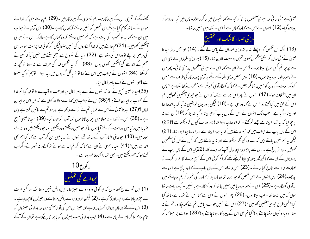کھنے لگے کہ تم ہی اس کے پیروکار ہو۔ ہم توموسیٰ کے پیروکار ہیں۔ (29) ہم جانتے ہیں کہ خدا نے موسیٰ کے ساتھ کلام کیا ہے مگر اس شخص کو نہیں جانتے کہ کہاں کا ہے ۔(30) اس آدمی نے حواب میں ان سے کہا یہ تو تعجب کی بات ہے کہ تم نہیں جانتے کہ وہ کہاں کا ہے حالانکہ اس نے میری سنګھیں کھولیں۔ (31) ہم جانتے ہیں کہ خدا گنہگاروں کی نہیں سنتالیکن اگر کوئی خدا پرست ہواور اس کی مرضی پر چلے تووہ اس کی سنتا ہے۔ (32) دنیا کے سٹروع سے کبھی سننے میں نہیں آپا کہ کسی نے جنم کے اندھے کی آنکھیں کھولی ہوں۔ (33) اگر یہ شخص خدا کی طرف سے نہ ہوتا تو کجھ نہ کرسکتا۔(34) انہوں نے حواب میں اس سے کہا تو تو پاگل گناہوں میں پیدا ہوا۔ توہم کو کیاسکھتا ہے ؟ اور انہوں نے اسے باہر کال دیا۔

(35)سید ناعیسیٰ مسیح نے سنا کہ انہوں نے اسے باہر کال دیا اور حب وہ آپ سے ملا نؤ کھا کیا تم خدا کے محبوب پر ایمان لاتے ہو؟ (36)اس نے حبواب میں کہا اسے مولا وہ کون ہے کہ میں اس پر ایمان لاؤں ؟(37) سید ناعیسیٰ نے اس سے فرمایا تم نے نواسے دیکھا ہے اور حو تم سے باتیں کرتا ہے وہی ہے۔(38) اس نے کہا اے مولا میں ایمان لاتا ہوں اور آپ کوسجدہ کیا۔ (39) سید ناعیسیٰ مسح فرمایا میں د نیامیں عدالت کے لئے آیا ہوں تا کہ حو نہیں دیکھتے وہ دیکھیں اور حودیکھتے ہیں وہ اندھے ہوجائیں۔ (40) حبو دینی علماء آپ کے ساتھ تھے انہوں نے یہ باتیں سن کر آپ سے کہا کیا ہم بھی اندھے ہیں؟ (41) سیدناعیںیٰ نے ان سے کہا کہ اگر تم اندھے ہوتے تو گنہگار نہ ٹھہرتے۔مگراب کھتے ہو کہ ہم دیکھتے ہیں۔ پس تہارا گناہ قائم رہتا ہے۔



(1) میں تم سے سچ کھتا ہوں کہ حو کوئی دروازہ سے بھیڑ خانہ میں داخل نہیں ہوتا بلکہ اور کسی طرف سے حیڑھ جاتا ہے وہ حیور اور ڈا کو ہے ۔ (2) لیکن حبو دروازہ سے داخل ہوتا ہے وہ بھیڑوں کا حیروابا ہے ۔ (3) اس کے لئے دریان دروازہ کھول دیتاہے اور بھیڑیں اس کی آواز سنتی ہیں اور وہ اپنی بھیڑوں کو نام بنام بلا کر باہر لے جاتا ہے ۔ (4) حب وہ اپنی سب بھیڑوں کو باہر لکال چکتا ہے توان کے آگے

عیسیٰ ہے مٹی سانی اور میری آنکھوں پر لگا کر مجھ سے کہا شیلوخ میں جا کر دھولو۔ پس میں گیا اور دھو کر بیناہوگیا۔ (12) انہوں نےاس سے کہاوہ کہاں ہے ؟اس لے کہامیں نہیں جانتا۔

دینی علماء کاشک اور تحقیق

(13) لوگ اس شخص کو حبوپہلے اندھا تھا دینی علماؤں کے پاس لے گئے ۔ (14) اور حس روز سید نا عیسیٰ نےمٹی سان کراسکی آنکھیں کھولی تھیں وہ سبت کادن تھا۔ (15) پھر دینی علماؤں نے بھی اس سے پوجیا تم کس طرح بینا ہوئے ؟ اس نے ان سے کہا اس نے میری آنکھوں پر مٹی لگائی۔ پھر میں نے دھولیا اور اب بینا ہوں۔ (16) پس بعض دینی علماء کینے لگے بیرآدمی پرورد گار کی طرف سے نہیں کیونکہ سبت کے دن کو نہیں ما نتامگر بعض نے <sub>ک</sub>ہا کہ گنہگار آدمی کیونکر ایسے معجزے دکھا سکتا ہے ؟ پس ان میں اختلاف ہوا۔ (17) انہوں نے پھر اس اندھے سے کہا کہ اس نے حبو تیبری آنکھیں کھولیں تم اس کے حق میں کیا۔۔ ہو ؟ اس نے <sub>ک</sub>ماوہ نبی ہے ۔ (18) لیکن یہودیوں کو یقین نہ آیا کہ بہ اندھا تھا اور بینا ہوگیا ہے ۔ حب تک انہوں نے اس کے ماں پاپ کو حبو بینا ہوگیا تھا بلا کر (19)ان سے نہ پوچھ لیا کہ یہ تہارا بیٹاہے جے تم کہتے ہو کہ اندھا پیدا ہوا تھا؟ پھر وہ اب کیوں کر دیکھتا ہے ؟(20) اس کے ماں پاپ نے حواب میں کہا ہم جانتے ہیں کہ یہ ہمارا بیٹا ہے اور اندھا پیدا ہوا تھا۔ (21) لیکن ہیہ ہم نہیں جانتے ہیں کہ اب وہ کیونکر دیکھتا ہے اور نہ یہ جانتے ہیں کہ کس نے ان کی اینکھیں کھولیں۔ وہ تو مالغ ہے ۔ اسی سے پوچھووہ اپنا حال آپ کھہ دے گا۔ (22) پہ اس کے ماں باپ نے یہودیوں کے ڈر سے کہا کیونکہ یہودی ایکا کرچکے تھے کہ اگر کوئی اس کے مسح ہونے کا اقرار کرے تو عمادت خانہ سے خارج کیا جائے ۔ (23) اس واسطے اس کے ماں باپ نے کہا وہ بالغ ہے اسی سے پوچھو۔(24) پس انہوں نے اس شخص کو حواندھا تھا دوبارہ بلا کر <sub>ک</sub>مافدا کی تمجید کر ہم نوجانتے ہیں یہ آدمی گنہ گار ہے۔(25) اس نے حواب دیامیں نہیں جا نتا کہ وہ گنہ گار ہے یا نہیں -ایک بات جا نتا ہوں کہ میں اندھا تھا - اب بینا ہوں- (26) پھر انہوں نے اس سے کہا اس نے تہارے ساتھ کیا کیا؟ کس طرح تیری آنکھیں کھولیں؟ (27) اس نے انہیں حواب دیامیں تم سے کھہ جِکااور تم نے نہ سنا۔ دوبارہ کیوں سنناچاہتے ہو؟ کیاتم بھی اس کے پیروکارہوناچاہتے ہو؟ (28) وہ اسے برا سِلاَکھہ کر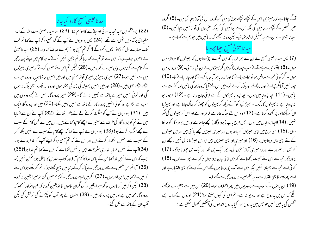سید ناعیسی مسح کارد کیاجانا

(22) یروشلم میں عبد تحدید ہوئی اور جاڑے کاموسم تھا۔ (23) اور سید ناعیسیٰ بیت اللہ کے اندر سلیمانی برآمدہ میں ٹہل رہے تھے۔ (24) پس یہودیوں نے آپ کے گرد جمع ہو کرآپ سے <sub>کھا</sub> تم کب تک ہمارے دل کو ڈانوا نڈول رکھوگے ؟ اگر تم مسح ہو تو ہم سے صاف کہہ دو۔ (25) سید ناعیسیٰ نے انہیں حواب دیا کہ میں نے تو تم سے <sub>کھہ</sub> دیا مگر تم یقین نہیں کرتے ۔حو کام میں اپنے پرورد گار کے نام سے کرتاہوں وہی میرے گواہ بیں۔ (26) لیکن تم اس لئے نہیں کرتے کہ میری ہیپڑوں میں سے نہیں ہو۔(27) میری ہیپڑیں میری آواز سنتی بیں اور میں انہیں جا نتا ہوں اور وہ میرے پیچھے پیچھے چلتی ہیں۔ (28) اور میں انہیں ہمیشہ کی زند گی بخشتا ہوں اور وہ اید تک کبھی ہلاک نہ ہوں گی اور کوئی انہیں میرے ماتھ سے جیبن نہ لے گا۔ (29) میرا پرورد گار جس نے مجھے وہ دی بیں سب سے بڑا ہے اور کو ئی انہیں پرورد گار کے باتھ سے نہیں چیین سکتا۔ (30) میں اور پرورد گار ایک ہیں۔ (31) یہودیوں نے آپ کوسنگیار کرنے کے لئے پتھر اٹھائے۔ (32) آپ نےان سے فرمایا میں نے تم کو پرورد گار کی طرف سے بہتیرے اچھے کام دکھائے بیں ۔ان میں سے کس کام کے سبب سے مجھے سنگیار کرتے ہو؟ (33) یہودیوں نے آپ سے کہا کہ اچھے کام کے سبب سے نہیں بلکہ کفر کے سبب سے تہیں سنگیار کرتے ہیں اور اس لئے کہ تم آدمی ہوکر اپنے آپ کو خدا بناتے ہو۔ (34)آپ نے انہیں فرمایا تہاری سٹریعت میں یہ نہیں لکھا ہے کہ میں نے <sub>ک</sub>ہا تم <sub>فدا ہو</sub>؟(35) حبب کہ اس نے انہیں خدانحہا حن کے پاس خدا کا کلام آبا (اور کتاب مقدس کا باطل ہوناممکن نہیں )۔ (36) آیا تم اس شخص سے جسے پرورد گار نے پاک کرکے دیپا میں بھیجاکھتے ہو کہ تم کفر بکتے ہواس لئے کہ میں نے <sub>ک</sub>مامیں ابن <sub>التٰہ</sub> ہوں۔ (37) اگر میں اپنے پرورد گار کے کام نہیں کرتا تومیرا یقین نہ کرو۔ (38) لیکن اگر میں کرتا ہوں تو گومیرا یقین نہ کرومگران کاموں کا تو یقین کرو تاکہ تم جا نواور سمجھو کہ پرورد گار مجھ میں ہے اور میں پرورد گار میں ۔ (39) انہوں نے پھر آپ کو پکڑنے کی کوشش کی لیکن آپ ان کے پاتھ سے نکل گئے ۔ س گے چلتا ہے اور بھیڑیں اس کے پیچھے پیچھے ہولیتی بیں کیونکہ وہ اس کی آواز پہچانتی ہیں۔ (5) مگروہ عنیر شخص کے پیچھے نہ جائیں گی بلکہ اس سے ہعا گیں گی کیونکہ عنیروں کی آواز نہیں پہچا نتیں۔ (6) سید ناعیسیٰ نے ان سے یہ تمثیل ارشاد فرمائی۔لیکن وہ نہ سمجھے کہ یہ باتیں بیں حوہم سے کھتاہے ۔ سيد ناغيبلى مسيح احجا جروابا

(7) پس سید ناعیسیٰ مسبح نے ان سے پھر فرمایا کہ میں تم سے سچ کھتا ہوں کہ بھیڑوں کا دروازہ میں ہوں۔ (8) جننے مجھ سے پہلےآئے سب حپور اور ڈا کو پیں مگر سٖسٹروں نے ان کی نہ سنی۔ (9) دروازہ میں ہوں ۔ اگر کو ٹی محبے سے داخل ہو تو نجات پائے گا اور اندر پاہر آیا جا پا کرنے گا اور جارا پائے گا۔ (10) حپور نہیں آتا مگر حیرانے اور مار ڈالنے اور بلاک کرنے کو۔ میں اس لئے آیا کہ وہ زند گی پائیں اور کمثرت سے پائیں ۔ (11) احیا حیروایامیں ہوں۔ احیا حیروایا بھیڑوں کے لئے اپنی جان دیتا ہے ۔ (12) مزدور حبو نہ حجروابا ہے نہ بھیڑوں کا مالک - بھیڑئیے کوآتے دیکھ کر بھیڑوں کو چھوڑ کر ہجاگ جاتا ہے اور بھیڑ یا ان کو پکڑتااور پراگندہ کرتا ہے۔ (13) وہ اس لئے ساگ جاتا ہے کہ مزدور ہے اور اس کو سٖیٹروں کی فکر نہیں۔ (14)احیا حجہ واپاں میں ہوں۔ *جس طرح* پاپ (پرورد گار ) مجھے جا نتاہے اور میں پرورد گار کو جا نتا ہوں۔ (15) اسی طرح میں اپنی سِمیڑوں کوجا نتا ہوں اور میر ی سِمیڑیں مجھے جانتی بیں اور میں سِمیڑوں کے لئے اپنی جان دیتا ہوں۔ (16) اور میری اور بھی سِیٹریں بیں حبواس سِیٹرخانہ کی نہیں۔مجھے ان کو بھی لانا صرور ہے اور وہ میری آواز سنیں گی۔ پھر ایک ہی گلہ اور ایک ہی جروایا ہوگا۔ (17) پرورد گار مجھ سے اس لئے محبت رکھتا ہے کہ میں اپنی جان دیتا ہوں تا کہ اسے پھر لے لوں۔ (18) کوئی اسے مجھ سے چھینتا نہیں بلکہ میں اسے آپ ہی دیتا ہوں مجھے اس کے دینے کا بھی اختیار ہے اور اسے پھر لینے کا بھی اختیار ہے ۔ یہ ضکم میرے پرورد گار سے مجھے ملا۔

(19) ان با نوں کے سبب سے یہودیوں میں پھر اختلاف ہوا۔ (20) ان میں سے بہتیرے نوٹھنے گکے کہ اس پں بدروح ہے اور یہ دیوانہ ہے۔ تم اس کی کیوں سنتے ہو؟ (21) اوروں نے کہا یہ ایسے شخص کی باتیں نہیں جوجس میں بدروح ہو۔ کیا بدروح اندھوں کی آنکھیں کھول سکتی ہے ؟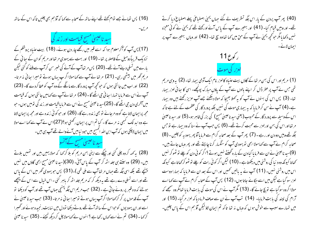(16) پس تومانے جسے توام کیتے تھے اپنے ساتھ کے صحابہ سے کہا کہ آؤ ہم بھی چلیں تاکہ اس کے ساتھ مريں۔

سید ناعیسیٰ مسیح قبامت اور زندگی

(17) پس آپ کوآگر معلوم ہوا کہ اسے قبر میں رکھے چار دن ہوئے۔ (18) بیت عنباہ پروشلم کے نزدیک قریباً دومیل کے فاصلہ پر تھا۔ (19) اور بہت سے یہودی مرتھااور مریم کوان کے ہعائی کے بارے میں تسلی دینےآئے تھے۔(20) پس مرتعاآپ کےآنے کی خبر سن کرآپ سے ملنے کو گئی لیکن مریم ٹھر میں بیٹھی رہی۔ (21) مرتعانے آپ سے کہامولا اگر پ بہاں ہوتے تومیرا سائی نہ مرتا-(22) اور اب میں جانتی ہوں کہ حبوتحچیہ آپ پرورد گارسے مانگے گے وہ آپ کو عطا کردے گا۔ (23) آپ نے اس سے فرمایا تہمارا سائی جی اٹھے گا۔ (24) مرتعانے آپ سے کھامیں جانتی ہوں کہ قیامت میں آخری دن جی اٹھے گا۔ (25)سید ناعیسیٰ مسیح نے اس سے فرمایا قیامت اور زند کی نومیں ہوں۔ حبو مجھ پرایمان لاتا ہے گووہ مرجائے تو بھی زندہ رہے گا۔ (26) اور حو کو ئی زندہ ہے اور محمّہ پرایمان لاتا ہے وہ ابد تک کسجی نہ مرے گا۔ کیا تم اس پر ایمان رکھتی ہو؟(27)اس نے آپ سے کہا اے مولا میں ایمان لاچکی ہوں کہ آپ ابن اللہ المسح بیں حبود نیامیں آنے والے تھے آپ ہی بیں۔ سید ناغیسی مسیح کےآنسو

(28) یہ بھہ کروہ چلی گئی اور چپکے سے اپنی بہن مریم کو بلا کر بھا کہ مولا یہیں ہیں اور تہیں بلاتے ہیں۔ (29) وہ سنتے ہی جلد اٹھ کر آپ کے پاس آئی۔ (30)(سید ناعیسیٰ مسیح ابھی گاؤں میں نہیں پہنچے تھے بلکہ اسی جگہ تھے جہاں مرتعاآپ سے ملی تھی )۔(31) پس حبو یہودی گھر میں اس کے پاس تھے اور اسے تسلی دے رہے تھے یہ دیکھ کر کہ مریم جلد اٹھ کر پاہر گئی ۔اس خیال سے اس کے پیچھے ہولئے کہ وہ قبر پر روپے جاتی ہے ۔ (32) حب مریم اس جگہ بہنیجی حہاں آپ تھے اور آپ کو دیکھا تو آپ کے قدموں پر گر کر <sub>ک</sub>مامولاا گرآپ یہاں ہوتے تومیرا سائی نہ مرتا۔ (33) حب سید ناعیسیٰ نے اسے اور ان یہودیوں کو حبواس کے ساتھ آئے تھے روتے دیکھا تو دل میں نہایت رنجیدہ ہوئے اور گھبرا کر <sub>ک</sub>ما - (34) تم نے اسے <sub>کما</sub>ں رکھا ہے ؟ انہوں نے <sub>ک</sub>مامولا چل کر دیکھ کیجئے - (35) سید ناعیسیٰ

(40) پھر آپ یردن کے پار اس جگہ تشریف لے گئے جہاں یمیلی اصطباعی پہلے اصطباع دیا کرتے تھے۔ اور وہیں قیام کیا۔ (41) اور بہتیرے آپ کے پاس آئے اور کھتے تھے کہ یحییٰ نے کوئی معمِزہ <sup>نہ</sup>یں دکھایا مگر حو کچھ یحییٰ نے آپ کے حق میں کہا تھاوہ سچ تھا۔ (42) اور وہاں بہتیرے آپ پر ایمان لائے۔



(1) مریم اور اس کی بہن مرتبا کے گاؤں بیت عنباہ کالعزر نام ایک آدمی بیمار تھا۔ (2) پہ وہی مریم تھی جس نے آپ پر عطر ڈال کر اپنے بالوں سے آپ کے یاوَں مبارک پونچھے۔ اسی کا سائی لعزر بیمار تعا۔ (3) پس اس کی بهنوں نے آپ کو بہ کہلا بھیجا کہ مولا دیکھئے جسے آپ عزیز رکھتے ہیں وہ بیمار ہے۔(4) آپ نے سن کر فرمایا کہ بہ بیماری موت کی نہیں بلکہ پرورد گار کی عظمت کے لئے ہے تاکہ اس کے وسیلہ سے پرورد گار کے محبوب (یعنی سید ناعیسیٰ مسح) کی بزر گی ظاہر ہو۔(5) اور سید ناعیسیٰ مرتعااور اس کی بہن اورلعزر سے محبت کرتے تھے۔ (6) پس جب آپ نے سنا کہ وہ بیمار ہے تو جس جگہ تھے وہیں دو دن اور رہے ۔ (7) پھر آپ کے بعد صحابہ کرام سے فرما یا آؤ پھریہودیہ کو چلیں ۔ (8) صحابہ کرام نے آپ سے کہا مولا ابھی نو یہودی آپ کو سنگیار کرنا چاہتے تھے اور پھر وہاں جاتے ہیں۔ (9)سید ناعیسیٰ نےان سے فرمایا کیادن کے بارہ گھنٹے نہیں ہوتے ؟اگر کوئی دن کو چلے تو ٹھوکر نہیں کھاتا کیونکہ وہ د نیا کی روشنی میں دیکھتاہے ۔ (10 ) لیکن اگر کوئی رات کو چلے تو ٹھوکرکھاتاہے کیونکہ اس میں روشنی نہیں۔ (11) آپ نے یہ باتیں تھمیں اور اس کے بعد ان سے فرمایا کہ ہمارا دوست لعزر سو گیا ہے لیکن میں اسے حِگانے جاتا ہوں۔ (12) پس آپ کے صحابہ کرام نے آپ سے کہا اے مولااگروہ سوگیا ہے تو بچ جائے گا۔ (13) مگر آپ نے اس کی موت کی بابت فرمایا تعامگروہ سمجھے کہ آرام کی نیند کی بابت فرمایا۔ (14) تب آپ نے ان سے صاف فرما دیا کہ لعزر مر گیا۔ (15) اور میں تہارے سبب سے خوش ہوں کہ وہاں نہ تھا تاکہ تم ایمان لاؤ لیکن آؤ ہم اس کے پاس چلیں-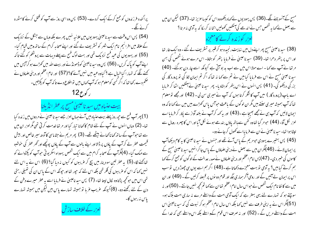پراگندہ فرزندوں کو جمع کرکے ایک کردے۔ (53) پس وہ اسی روز سے آپ کو قتل کرنے کامثورہ کرنے لگے۔ (54) پس اس وقت سے سید ناعیسیٰ یہودیوں میں علانیہ نہیں پھرے بلکہ وہاں سے جنگل کے نزدیک کے علاقہ میں افرائیم نام ایک شہر کو تسٹریف لے گئے اور اپنے صحابہ کرام کے ساتھ وہیں قیام کیا۔ (55) اور یہودیوں کی عید فسح نزدیک تھی اور بہت لوگ فسح سے پہلے دیہات سے یروشکم کو گئے تاکہ اپنے آپ کو پاک کریں۔ (56) پس وہ سید ناعیسیٰ کوڈھونڈنے اور بیت اللہ میں کھڑے ہوکر آپس میں ٹھنے لگے کہ تہ<sub>ار</sub> اکیاخیال ہے <sup>9</sup> کیاوہ عید میں نہیں آئے گا؟ (57) اور امام اعظم اور دینی علماؤں نے محکم دے رکھا تھا کہ اگر کسی کومعلوم ہو کہ آپ کہاں ہیں تواطلاع دے تا کہ آپ کو پکڑلیں۔  $12 \epsilon \sqrt{2}$ 

ببیت عنباه میں سید ناعیسیٰ مسح پر عطر انڈیلنا

(1) پھر آپ فسح سے ج<sub>ھ</sub>روز پہلے بیت عنیاہ میں آئے جہاں لعزر جسے سید ناعیسیٰ نے مردوں میں زندہ کیا تھا۔ (2) وہاں انہوں نے آپ کے لئے شام کا کھانا تیار کیا اور مرتبا خدمت کر ٹی تھی مگر لعزر ان میں سے تعاحبوآپ کے ساتھ کھاناکھانے بیٹھے تھے۔ (3) پھر مریم نے جٹاماسی کاآدھ سیر خالص اور بیش قیمت عطر لے کرآپ کے یاؤں پر ڈالااور اپنے مالوں سے آپ کے یاؤں پونچھے اور ٹھر عطر کی حرشبو سے مہک گیا۔ (4)مگرآپ کے صحابہ کرام میں سے ایک شخص یہوداہ اسکریو تی حبوآپ کو پکڑوانے کو تعالِمَتْ لگا۔(5) یہ عطر تین سود بنار میں بیچ کر عریبوں کو کیوں نہ دیا گیا؟ (6) اس نے یہ اس لئے نہیں کہا کہ اس کو عریبوں کی فکر تھی بلکہ اس لئے کہ حپور تھااور حپونکہ اس کے پاس ان کی تھیلی رہتی تھی اس میں حو تحچیہ پڑتا وہ کال لیتا تھا۔ (7) پس سید ناعیسیٰ نے فرمایا اسے یہ عطر میرے دفن کے دن کے لئے رکھنے دو۔ (8) کیونکہ غریب غربا تو ہمیشہ تہارے پاس ہیں لیکن میں ہمیشہ تہارے پاس نه رېوں گا-

لعزر کے خلا**ف** سازش

مسج کے آنسو بہنے لگے۔(36) پس یہودیوں نے <sub>ک</sub>مادیکھووہ اس کو کیساعزیز تھا۔ (37) لیکن ان میں سے بعض نے کہا یہ شخص جس نے اندھے کی آنکھیں کھولیں اتنا نہ کر کا کہ یہ آدمی نہ مرتا ؟ لعزر کوزندہ کرنے کامعجزہ

(38) سید ناعیسیٰ مسیح پھر اپنے دل میں نہایت رنجیدہ ہو کر قبر پر تشریف لے گئے ۔وہ ایک غار تھا اور اس پر بتھر دھرا تھا۔ (39) سید ناعیبیٰ نے فرمایا بتھر کو ہٹاؤ- اس مرے ہوئے شخص کی بہن مرتھا نے آپ سے کہا - اے مولا اس میں سے اب بد بوآئی ہے کیونکہ اسے چار دن ہوگئے۔ (40) سید ناعیسیٰ مسح نے اس سے فرمایا کیا میں نے تم سے کہا نہ تعاکہ اگر تم ایمان لاؤ گی تو پرورد گار کی بزر کی دیکھو کی۔ (41) پس انہوں نے اس پتھر کو ہٹادیا۔ پھر سید ناعیسیٰ نے آنکھیں اٹھا کر فرمایا اے باپ (پرورد گار ) میں آپ کا شکر کرتا ہوں کہ آپ نے میری سن لی ۔ (42) اور مجھے تومعلوم تعا کہ آپ ہمیشہ میری سنتے ہیں مگر ان لو گوں کے باعث حواس پاس کھڑے ہیں میں نے کہا تا کہ وہ ایمان لائیں کہ آپ ہی نے مجھے بھیجا ہے ۔(43) اور یہ کہہ کرآپ نے بلند آواز سے پکار کر فرمایا اے لعزر نکل آؤ۔ (44) حبو مر گیا تھاوہ کفن سےباتھ یاؤں بندھے ہوئے نکل آیا اور اس کا چھرہ رومال سے لپٹاہوا تھا۔سید ناعیسیٰ نےان سے فرمایااسے کھول کرجانے دو۔

(45) پس بہتیرے یہودی حومریم کے پاس آئے تھے اور حسوں نے سید ناعیسیٰ کا یہ کام دیکھاآپ پرایمان لائے۔(46)مگر ان میں سے بعض نے دینی علماؤں کے پاس جا کر انہیں سید ناعیسیٰ مسجے کے کاموں کی خبیر دی۔ (47) پس امام اعظم اور دینی علماؤں نے صدر عدالت کے لوگوں کو جمع کرکے کہا ہم کرتے کیا بیں؟ بیرآدمی تو بہت معمِزے دکھاتا ہے۔(48) اگر ہم اسے یوں ہی چھوڑ دیں تو سب اس پر ایمان لے آئیں گے اور رومی آگر ہماری جگہ اور قوم دو نوں پر قبصنہ کرلیں گے ۔ (49) اور ان میں سے کا ئفا نام ایک شخص نے حواس سال امام اعظم تھاان سے کہا تم تحجیہ نہیں جانتے ۔ (50)اور نہ سوچتے ہو کہ تہمارے لئے یہی بہتر ہے کہ ایک آدمی امت کے واسطے مرے نہ ساری امت ہلاک ہو۔ (51)مگر اس نے بہ اپنی طرف سے نہیں کہا بلکہ اس سال امام اعظم ہو کر نبوت کی کہ سید ناعیسیٰ اس امت کے واسطے مریں گے ۔ (52) اور نہ صرف اس قوم کےو اسطے بلکہ اس واسطے بھی کہ خدا کے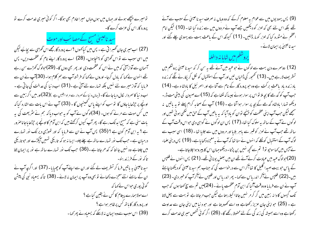تومیرے پیچھے ہولے اور جہاں میں ہوں وہاں میرا خادم بھی ہوگا- اگر کوئی میری خدمت کرے تو پرورد گار اس کی عزت کرے گا۔

سید ناعیسیٰ مسح کے مصائب اور موت

(27) اب میری جان گھبرا تی ہے - پس میں کیاکھوں ؟اے پرورد گارمجھے اس گھڑی سے بچائیے لیکن میں اسی سبب سے تو اس ٹھرطبی کو پہنچاہوں۔ (28) اے پرورد گار اپنے نام کو عظمت دیں۔ پس آسمان سے آواز آئی کہ میں نے اس کو عظمت دی اور پھر بھی دوں گا۔ (29)حبولوگ کھڑے سن رہے یٹھے انہون نے کہا کہ بادل گرجا- اوروں نے کہا کہ فرشتہ آپ سے ہم کلام ہوا۔ (30)آپ نے ان سے فرمایا کہ آواز میرے لئے نہیں بلکہ تہارے لئے آئی ہے ۔(31) اب د نیا کی عدالت کی جاتی ہے ۔ اب د نبا کا سمردار کال دیاجائے گا- (پہاں د نیا کے سردار سے مراد ابلیس ہے )(32)اور میں اگر زمین سے اوپجے پر حِرْحایا جاؤں گا توسب کو اپنے پاس ٹھینیچوں گا ۔ (33) آپ نے اس بات سے اشارہ کیا کہ میں کس موت سے مرنے کو ہوں۔ (34)لوگوں نے آپ کو یہ حواب دیاکہ ہم نے سٹریعت کی یہ بات سنی ہے کہ مسیح ابد تک رہے گا۔ پھر آپ کیوں کرکھتے ہیں کہ ابن آدم کا اونچے پر جرِٹھا یاجاناصرور ہے ؟ یہ ابن آدم کون ہے ؟ (35) پس آپ نے ان سے فرمایا کہ اور تھوڑی دیر تک نور تہارے درمبان ہے۔جب تک نور تہارے ساتھ ہے چلے چلو۔ایسا نہ ہو کہ تاریکی تہیں آپکڑے اور حو تاریکی میں چلتاہے وہ نہیں جا نتا کہ کدھر جاتا ہے ۔(36) حب تک نور تہارے ساتھ ہے نور پر ایمان لاؤ تا کہ نور کے فرزند بنو۔

سید ناعیسیٰ یہ باتیں فرما کر تشریف لے گئے اور ان سے اپنےآپ کو چھپایا۔ (37) اور اگر چہ آپ نے ان کے سامنے اتنے معجزے دکھائے تو بھی وہ آپ پر ایمان نہ لائے۔(38) تا کہ یسعیاہ نبی کی پیش گوئی پوری حواس نے کہا کہ اے مولاہمارے پیغام کا کس نے یقین کیاہے ؟ اور پرورد گار کا با تھ <sup>ک</sup>س پر ظاہر ہوا ہے ؟ (39) اس سبب سےوہ ایمان نہ لاسکے کہ یسعیاہ نے پھر کھا۔

(9) پس یہودیوں میں سے عوام یہ معلوم کرکے کہ وہ وہاں نہ صرف سبد ناعیسیٰ کے سبب سے آئے تھے بلکہ اس لئے بھی کہ لعزر کو دیکھیں جسے آپ نے مردوں میں سے زندہ کیا تھا۔ (10) لیکن امام اعظم نے مثورہ کیا کہ لعزر کو مار ڈالیں۔ (11) کیونکہ اس کے باعث بہت سے یہودی چلے گئے اور سید ناعیسیٰ پر ایمان لائے۔

يروسكم مين شابا نه داخله

(12) دوسرے دن بہت سے لوگوں نے حوعید میں آئے تھے ہہ سن کر کہ سید ناعیسیٰ یروشلم میں تسٹر پف لارہے ہیں۔ (13) تھمجور کی ڈالیاں لیں اور آپ کے استقبال کو نکل کر پکارنے لگے کہ زندہ یاد زندہ باد یاعث برکت ہے وہ حبو پرورد گار کے نام سے آتا ہے اور اسمر ئیل کا یادشا ہ ہے۔ (14) جب آپ کو گدھے کا بجہ ملا تواس پر سوار ہوئے جیسا کہ لکھاہے کہ (15)اے صیون کی بیٹی مت ڈر۔ دیکھو تہارا بادشاہ گدھے کے بچہ پر سوار ہوا آتا ہے ۔ (16) آپ کے صحابہ کرام پہلے نو بہ پاتیں پنہ سمجھے لیکن حب آپ اپنی عظمت کو پہنچے توان کو ماد آیا کہ بہ پاتیں آپ کے حق میں لکھی ہو ئی تھیں اور لوگوں نے آپ کے ساتھ یہ سلوک کیا تھا۔(17) پس ان لوگوں نے گواہی دی حواس وقت آپ کے ساتھ تھے جب آپ نے لعزر کو قسر سے پاہر بلایا اور مردوں میں سے جلایا تھا۔ (18) اسی سبب سے لوگ آپ کے استقبال کونکلے کہ انہوں نے سنا تھا کہ آپ نے یہ معمِزہ دکھایا ہے۔ (19) پس دینی علماء نے آپس میں کہا سوجپو تو! تم سے کحچھ نہیں بن پڑتا۔ دیکھوجہان اس کا پیروہوا چلاجاتا ہے۔ (20)حولوگ عید میں عبادت کرنے آئے تھے ان میں بعض یونا فی تھے۔ (21) پس انہوں نے فلپس کے پاس حبو بیت صبدا گلیل کا تعاآکر اس سے درخواست کی کہ جناب ہم سید ناعیسیٰ کو دیکھنا چاہئے ہیں۔(22) فلپس نےآکر اندریاس سے کہا۔ پھر اندریاس اور فلپس نےآکر آپ کو خبر دی۔ (23) آپ نے ان سے فرمایا وہ وقت آگیا کہ ابن آدم عظمت پائے ۔ (24)میں تم سے سچ کہتا ہوں کہ حب تک گیہوں کا دانہ زمین میں گر کر مر نہیں جاتا اکیلار بیٹا ہے لیکن جب مرجاتا ہے تو بہت سے پھل لاتا ہے۔ (25) حبوا پنی جان عزیز رکھتاہے وہ اسے کھود بتا ہے اور حبو دنیا میں اپنی جان سے عداوت رکھتا ہے وہ اسے ہمیشہ کی زند گی کے لئے محفوظ رکھے گا۔ (26) اگر کوئی شخص میری خدمت کرے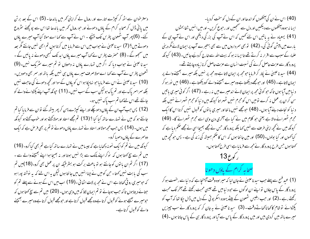دستر حوان سے اٹھ کر کیپڑے اتارے اور رومال لے کر اپنی تھر میں باندھا۔ (5) اس کے بعد بر تن میں پانی ڈال کر صحابہ کرام کے پاؤں دھونے اور حبو رومال کھر میں باندھا تھا اس سے بو ٹچھنے سٹروع  $\cdot$ میں پانی ڈال کر صحابہ کرام کے پاوَں دھونے اور حبو رومال تحمر میں باندھا تھا اس سے ب<sub>ل</sub>ا پانی ڈال کر صحابہ کرام کے پا کئے۔ (6) پھر آپ شمعون پطرس تک بہنیجے - اس نے آپ سے کہا اے مولا کیا آپ میرے پاؤں دھوتے ہیں؟ (7) سید ناعیسیٰ نے حواب میں اس سے فرمایا میں کرتا ہوں تم ابھی نہیں جانئے ؒ 0 سید ناعیسیٰ نے حواب میں اس سے فرمایا میں کرتا ہوں تم ابھی مہیں جانتے مگر بعد ن سمجھوٹے ۔ میں سمجھو گے ۔ (8) حصرت پطرس نے کہا آپ میرے پاؤں ابد تک کسمی دھونے نہ پائیں گے ۔ .<br>حصرت پطرس نے کہا آپ میرے یاؤں ابد تک کبھی دھونے بیدنا عیسیٰ نے حواب دیا کہ اگر میں تہارے پاؤں نہ دھوؤں تو تم میرے سٹریک نہیں۔ نا عیسیٰ نے حواب دیا کہ اگر میں تہارے پاؤں نہ دھوؤں تو تم میرے س<sup>ٹ</sup>  $\mathbb{R}^n$ سیدنا عیسیٰ نے حواب دیا کہ  اگر میں  تہارے باؤں نہ دھوؤں  تو تم میرے سٹریک نہیں۔(9) مون پطرس نے آپ سے کہا اے مولا صرف میرے باؤں ہی نہیں بلکہ باتھ اور سمر بھی دھودیں۔ شعمون پطرس نے آپ سے کہا اے مولا صرف میرے پاؤں ہی تہیں بلکہ ہا (10) سید ناعیسیٰ نے اس سے فرمایا حبو نہاچکا ہو اس کو یاؤں کےسوا اور کحچھ دھونے کی حاجت نہیں سید ناعیسیٰ نے اس سے فرما یا حبو نہاچکا ہو اس کو پاؤں کے سوا اور <sup>ک</sup> بلکہ سمراسمر پاک ہے اور تم پاک ہولیکن سب کے سب نہیں۔ (11) حیونکہ آپ اپنے بکڑوانے والے کو جانتے تھے اس لئے کہا تم سب پاک نہیں ہو۔ نت<u>ے تھے</u> <sub>اس لئے <sub>کھیا</sub> تم</sub> ٠.

(12) پس حب آپ ان کے پاؤں دھو چکے اور اپنے کپڑے بہن کر بھر بیٹھ گئے توان سے فرمایا کیا تم ہنے کپڑے <sup>پہن</sup> کر پھر بیٹھ گئے توان سے فرمایا کیا جانتے ہو کہ میں نے تہارے ساتھ کیا کیا ؟ بانتے ہو کہ میں نے تہارے ساتھ کیا کیا ؟ (13) تم مجھے استاد اورمولا کہتے ہو اور حوب کہتے ہو کیونکہ میں ہوں۔ (14) پس جب مجھ مولااور استاد نے تہارے پاؤں دھوئے تو تم پر بھی فر حس ہے کہ ایک مولااور استاد نے تہدارے پاؤں دھونے تو تو من مدينة الم پس *جب محم<sub>ص</sub> مولا*اور استاد نے تمہارے پا دوسمرے لے پاؤں دھویا سر ے کے باؤں دھویا کرو۔

ونکہ میں نے تم کوایک نمونہ دکھایاہے کہ جیسامیں نے تہارے ساتھ کیاہے تم بھی کیاکرو-کیونکہ میں نے تم کوایک نمونہ دکھایاہے کہ جیسامیں نے تہارے ساتھ کیاہے تم بھی کیا کرو۔ (16) میں تم سے سچ کھتا ہوں کہ نوکر اپنے مالک سے بڑا نہیں ہوتا اور نہ بھیجا ہوا اپنے بھیجنے والے سے ۔ ۔<br>تم سے سچ ک<sup>ہ</sup> تا ہوں کہ <sup>لڈ</sup> (17) اگر تم ان با توں کوجانتے ہو تو باعث بر کت ہو بسٹر طیکہ اگر تم ان با توں کوجانتے ہو تو باعث برکت ہ ينو ان پر عمل بھی کر**و۔(1**8)میں تم ب کی بابت نهیں کھتا۔حن کومیں نے چنااسمیں میں جانتا ہوں لیکن یہ اس لئے کہ یہ نوشتہ پورا ہو سب کی بابت ہنیں کہتا۔حن کومیں نے ہ حبو میری رو ٹی تھاتا ہے اس نے مجھ پر لات اٹھا تی ۔ میری رو ٹی محاتا ہے اس نے مجھ پر لات اٹھا ئی بومیری رو ٹی محاتا ہے اس نے مجھ پر لات اٹھائی ۔(19) اب میں اس کے ہونے سے پہلے تم کو که م ب میں اس کے ہونے سے پہلے <sup>تم</sup> تنانے دیتاہوں تا کہ حبب ہوجانے تو تم انیمان ہوں تا کہ حب موہائے ت**و ت**و جتائے دیتاہوں تا کہ حب ہوجائے نو تم ایمان لاؤ کہ میں وہی ہوں۔ (20) میں تم سے سچ کھتا ہوں کہ حبومبیر ے بھیجے ہوئے کو قسول کرتا ہے وہ مجھے قسول کرتا ہے اور حبومجھے قسول کرتا ہے وہ مبیرے بھیجنے والے کو قسول کرتاہے۔

) آنکھوں کواندھااور ان کے دل کو سخت کردیا۔ (40) اس نے ان کی آنکھوں کواندھااور ان کے دل کوسخت کردیا نے ان کی آنکھوں کواندھااور ان کے دل کو سخ ایسا نہ ہووہ آنکھوں سے دیکھیں اور دل سے سمجھیں اور رحوع کریں۔ اور میں انہیں شفا بحثوں (41) یسعیاہ نے یہ باتیں اس لئے کھیں کہ اس نے آپ کی بزر گی دیکھی اور اس نے آپ ہی کے بارے میں پیش گوئی کی۔ (42) تو بھی سرداروں میں سے بھی بہتیرے آپ پر ایمان لائے مگر دینی علماء کے سبب سے اقرار نہ کرتے تھے تاایسا نہ ہو کہ بیت اللہ سے خارج کردیئیے جائیں۔ (43) کیونکہ پرورد گار سے عزت حاصل کرنے کی نسبت انسان سے عزت حاصل کرنازیادہ چاہتے تھے۔ (44) سید ناعیسیٰ نے پکار کر فرمایاحومجھ پر ایمان لاتا ہے وہ مجھ پر نہیں بلکہ میرے بھیجنے والے پر بیہا<sub>ر نے</sub> سپ<br>مه ایمان لاتاہے ۔ (45) اور حبومجھے دیکھتا ہے وہ میرے بھیجنے والے کودیکھتا ہے ۔ (46) میں نور ہو کر مە<br>مە ہا ہوں تا کہ حبو کو ٹی محمّد پر ایمان لانے اندھیرے میں نہ رہے ۔  $\checkmark$ د نیامیں آیا ہوں تا کہ حبو کو ٹی مجھ پر ایمان لائے اندھیرے میں بہ رہے <sup>نیا</sup> میں آیا ہوں تا کہ حو کو ٹی مجھ پر ایمان لائے نیامیں آیا ہوں تا کہ حو کوئی مجھ پر ایمان لائے اندھیرے میں نہ رہے ۔ (47) اگر کوئی میری باتیں گر ک**ہ** ؟ ن کران پر عمل نہ کرے تومیں اس کومجرم نہیں ٹھہراتا کیونکہ میں دنیا کومجرم ٹھہرانے سن کران پر عمل نہ کرے تومیں اس کو مجرم نہیں ٹھہراتا کیونکہ میں دنیا کومجرم ٹھہرانے نہیں بلکہ د نیا کو نجات دینے آیا ہوں۔ ٠ نیا کو نجات دینے آیا ہوں۔ (48) حبومجھے نہیں ما نتا اور میری با توں کو قبول نہیں کرتا اس کا ایک . آخری دن وہی اسے مجرم تھہرائے گا۔ بزم ٹھہرانے والا ہے یعنی حبو کلام میں نے کیا ہے آخری دن وہی اسے مجرم ٹھہرائے گا مجرم تھُہرانے والا ہے یعنی حو کلام میں نے کیا ہے آخری دن وہی اسے مجرم تھُہرائے گا۔ (49) کیونکہ میں نے تحچہ اپنی طرف سے نہیں کہا بلکہ پرورد گار <sup>ج</sup>س نے مجھے بھیجا اسی نے مجھے حکم دیا ہے کہ کیا کھوں اور کیا بولوں۔(50) اور میں جا نتا ہوں کہ اس کا حکم ہمیشہ کی زندگی ہے۔ پس حو تحچھ میں کھتا ہوں جس طرح برورد گار نے مجھ سے فرمایا ہے اسی طرح کھتا ہوں۔ ر کوع13

> <sub>تح</sub>ا بہ کرام کے پاؤں دھونا  $\ddot{\phantom{a}}$ صحابہ کرام کے

(1) عيد فسح سے پہلے حب سيد ناعيسٰ نے جان ليا كہ ميراوہ وقت آپہنچاہے كہ د نيا سے رخصت ہوكر .<br>L جان لبا که میراوه وقت آپهنز ، آخر تک محبت پرورد گار کے پاس جاؤں تو اپنے ا ن لو کوں سے حبو د نیا میں تھے جیسی محبت رکھتے تھے آخر تک محبت پرورد گار کے پاس جاؤں تو اپنے ان لوگوں سے حبو د نیا میں تھے جیسی محبت رکھتے تھے آ<sup>خ</sup>ر ہ<br>ہیں تواسنےان لوگوں سے جو د ز . . . رکھتے رہے ۔(2) اور حب ابلیس شمعون کے بیٹے یہودہ اسکر یو تی کے دل میں ڈال جپا تھا کہ آپ کو ركوائے توشام كأ پکڑوائے توشام کا کھاناکھاتےوقت - (3) سید ناعیسیٰ نے یہ جان کر کہ پرورد گار نے سب چیزیں سید ناعیسیٰ نے یہ جان کر کہ پرورد گار نے ، آیا اور پرورد گار ہی کے پاس جاتا ہوں ۔ میرے ہاتھ میں کردی بیں اور میں پرورد گار کے پاس سے آیا اور پرورد گار ہی کے پاس جاتا ہوں ۔(4)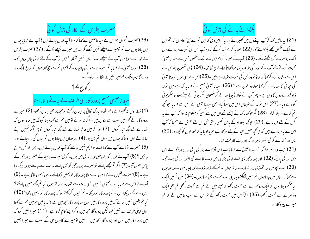## حصرت پطرس کے الکار کی پیش گوئی

(36)حصرت شمعون پطرس نے سید ناعیسیٰ سے <sub>ک</sub>ہا کہ مولاآپ <sub>ک</sub>ہاں جاتے بیں ؟آپ نے فرمایا جہاں میں جاتا ہوں اب تم تومیرے پیچھے نہیں آئیکتے مگر بعد میں میرے پیچھے آؤ گے ۔ (37)حصرت پطر س نے کہا اے مولا میں آپ کے پیچھے اب کیوں نہیں آسکتا ؟ میں تو آپ کے لئے اپنی جان دوں گا-(38) سید ناعیسیٰ نے فرمایا تم میرے لئے اپنی جان دو گے ؟میں تم سے سچ <sub>ک</sub>حتا ہوں کہ مرغ مانگ نہ دے گاجب تک تم میرا تین بار انکار نہ کرلوگے۔ ر کورع 14

## سید ناعیسیٰ مسیح پرورد گار کی طرف لے جانے والاراستہ

(1) تہارا دل نہ گھبرائے ، تم اللہ و تبارک تعالیٰ پر ایمان رکھتے ہو مجھ پر بھی ایمان رکھو۔ (2) میرے پرورد گار کے ٹھر میں بہت سے مکان بیں - اگر نہ ہوتے تو میں تم سے کہہ دیتا کیونکہ میں جاتا ہوں کہ تہارے لئے جگہ تیار کروں-(3) اور اگر میں جاکر تہارے لئے جگہ تیار کروں تو پھر آکر تہیں اپنے ساتھ لے لوں گا تا کہ جہاں میں ہوں تم بھی ہو۔(4) اور جہاں میں جاتا ہوں تم وہاں کی راہ جانتے ہو۔ (5) حصرت نقعا نے آپ سے کہا اےمولاہم نہیں جانتے کہ آپ کہاں جاتے ہیں۔ پھر راہ کس طرح جانیں ؟ (6) آپ نے فرمایا کہ راہ،حنّ اور زند کی میں ہوں۔ کوئی میرے وسیلہ کے بغیر پرورد گار کے یاس نہیں آتا۔ (7) اگر تم مجھے جانتے تومیرے پرورد گار کو بھی جانتے ۔اب اسے جانتے ہواور دیکھ لیا ہے۔(8)حصرت فلپس نے کہا میں اے مولا پرورد گار کو ہمیں دکھائیے۔ یہی ہمیں کافی ہے۔(9) آپ نے اس سے فرمایا اے فلپس ! میں اتنی مدت سے تہارے ساتھ ہوں کیا تم مجھے نہیں جانتے ؟ جس نے مجھے دیکھا اس نے پرورد گار کو دیکھا۔ تم کیوں کرکھتے ہو کہ پرورد گار کو ہمیں دکھا؟ (10) کیاتم یقین نہیں کرتے کہ میں پرورد گار میں ہوں اور پرورد گار مجھ میں ہے ؟ بہ ماتیں حومیں تم سے کھتا ہوں اپنی طرف سے نہیں کہتالیکن پرورد گار مجھ میں رہ کراپنے کام کرتاہے۔ (11) میرا یقین کرو کہ میں پرورد گار میں ہوں اور پرورد گار مجھ میں ۔ نہیں تو میرے کاموں ہی کے سبب سے میرا یقین

یکڑوائے جانے کی پیش کو <u>ٹی</u> (21) یہ پانٹیں کھہ کرآپ اپنے دل میں ٹھسرائے اور یہ گواہی دی کہ میں تم سے سچ کھتاہوں کہ تم میں سے ایک شخص مجھے پکڑوانے گا۔ (22) صحابہ کرام شبہ کرکے کہ وہ آپ کس کی نسبت فرمارہے ہیں ایک دوسمرے کودیکھنے لگے ۔ (23) آپ کے صحابہ کرام میں سے ایک شخص حس سے سید ناعیسیٰ محبت کرتے تھے آپ کے سینہ کی طرف جھکا ہوا کھانا کھانے بیٹھا تھا۔ (24) پس شمعون پطرس نے اس سے انثارہ کرکے کہا کہ بتاؤ تووہ کس کی نسبت فرمارہے ہیں ۔(25)اس نے اسی طرح سید ناعیسیٰ کی جہاتی کا سہارالے کر کہا مولا وہ کون ہے ؟ (26) سیدنا عیسیٰ مسج نے فرمایا کہ جسے میں نوالہ ڈ بو کردے دوں گاوہی ہے۔ پھر آپ نے نوالہ ڈ بویا اور لے کر شمعون اسکریو تی کے بیٹے یہوداہ اسکریو تی کو دے دیا۔ (27) اس نوالہ کے شیطان اس میں سماگیا۔ پس سید ناعیسیٰ نے اس سے فرمایا حوتحچیہ تم کرتے ہوجلد کرلو۔ (28) مگر حوکھا ناکھانے بیٹھے تھے ان میں سے کسی کومعلوم نہ ہوا کہ آپ نے یہ کس کے لئے فرمایا ہے۔(29) حیونکہ یہوداہ کے پاس تھیلی رہتی تھی اس لئے بعض نے سمجا کہ آپ اس سے ہہ فرمارہے بیں کہ حوکحچہ ہمیں عید کے لئے در کار ہے خریدلو یا ہہ کہ محتاجوں کو کحچہ دو۔ (30) پس وہ نوالہ لے کر فی الفور پاہر جِلا گیااور رات کاوقت تھا۔

(31) جب وہ پاہر چلا گیا تو سید ناعیسیٰ نے فرمایا اب ابن آدم نے بزر گی یا ئی اور پرورد گار نے اس میں بزر گی یائی۔ (32) اور پرورد گار بھی اسے اپنی بزر گی میں دے گا اسے فی الفور بزر گی دے گا-(33) اے بچومیں اور تھوڑی دیر تہارے ساتھ ہوں ۔ تم مجھے ڈھونڈوگے اور جیسا میں نے یہودیوں سے کہا کہ جہاں میں جاتا ہوں تم نہیں آسکتے ویسا ہی اب تم سے بھی کھتا ہوں۔ (34) میں تہیں ایک نیا حکم دیتا ہوں کہ ایک دوسمرے سے محبت رکھو کہ جیسے میں نے تم سے محبت رکھی تم بھی ایک دوسرے سے محبت رکھو۔(35) اگراہیں میں محبت رکھوگے تو اس سے سب جانیں گے کہ تم مبرے پیرو کاربو۔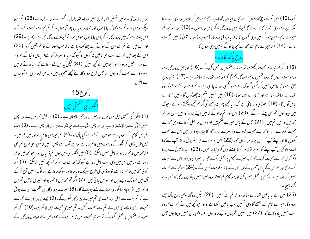طرح د نیا دیتی ہے میں تہیں اس طرح نہیں دیتا۔ تہارا دل نہ گھبرائے اور نہ ڈرے۔ (28) تم سن چکے ہومیں نے تم سے کہا کہ جاتا ہوں اور تہارے پاس پھر آتا ہوں۔ اگر تم مجھ سے محبت کرتے تو اس بات سے کہ میں پرورد گار کے پاس جاتا ہوں خوش ہوتے کیونکہ پرورد گار محمہ سے بڑا ہے۔(29) اور اب میں نے تم سے اس کے ہونے سے پہلے <sub>ک</sub>مہ دیا ہے تا کہ جب ہوجائے تو تم یقین کرو۔ (30) اس کے بعد میں تم سے بہت سی باتیں نہ کروں گا کیونکہ دنیا کا سردار آتا ہے( یہاں دنیا کے سردار سے مراد ابلیس مردود) اور مجھ میں اسکانحچھ نہیں ۔(31) لیکن بہ اس لئے ہوتاہے کہ د نیاجانے کہ میں پرورد گار سے محبت کرتا ہوں اور حس طرح پرورد گار نے مجھے صکم دیا میں ویسا ہی کرتا ہوں۔ اٹھو یہاں سے چلیں۔



(1) انگور کی حقیقی بیل میں ہوں اور میرا پرورد گار باعنبان ہے ۔ (2) حبو ڈالی مجھ میں ہے اور پھل نہیں لاتی اسے وہ کاٹ ڈالتا ہے اور حبو پھل لاتی ہے اسے جیانٹتا ہے تا کہ زیادہ پھل لائے۔(3) اب تم اس کلام کے سبب سے حبو میں نے تم سے کیا پاک ہو ۔(4) تم مجھ میں قائم رہو اور میں تم میں۔ جس طرح ڈالی اگر انگور کے درخت میں قائم نہ رہے تواپنےآپ سے پیل نہیں لاسکتی اسی طرح تم بھی اگرمجھ میں قائم نہ رہو تو بھل نہیں لاسکتے ۔(5) میں انگور کی بیل ہوں تم ڈالیاں ہو۔ حومجھ میں قائم رہتا ہے اور میں اس میں وہی بہت پھل لاتا ہے کیونکہ مجھ سے جدا ہو کر تم تحچھ نہیں کرسکتے ۔ (6) اگر کوئی مجھ میں قائم یہ رہے تووہ ڈالی کی طرح پچینک دیاجاتا اور سو کھ جاتا ہے اور لوگ انہیں جمع کرکے گ میں جھونک دیتے ہیں اور وہ جل جاتی ہیں۔ (7) اگر تم مجھ میں قائم رہو اور میری پاتیں تم میں قائم رہیں توجوچاہومانگو-وہ تہارے لئے ہوجائے گا-(8) میرے پرورد گار کی عظمت اسی سے ہو تی ہے کہ تم بہت سے پھل لاؤ۔ حب ہی تم میرے پیروکار ٹھہروگے۔ (9) جیسے پرورد گار نے محھ سے محبت رکھی ویے ہی میں نے تم سے محبت رکھی ۔ تم میری محبت میں قائم رہو۔(10) اگر تم میرے حکموں پر عمل کرو گے تو میری محبت میں قائم رہوگے جیسے میں نے اپنے پرورد گار کے

کرو۔(12) میں تم سے سچ کھتا ہوں کہ حومجھ پر ایمان رکھتا ہے یہ کام حومیں کرتا ہوں وہ بھی کرے گا بلکہ ان سے بھی بڑے کام کرے گا کیونکہ میں پرورد گار کے پاس جاتا ہوں ۔ (13) اور حو تحچھ تم میرے نام سے چاہوگے میں وہی کروں گا تاکہ باپ (پرورد گار )محبوب (سیدنا عیہیٰ ) میں عظمت یائے۔(14) اگر میرے نام سے مجھ سے کچھ چاہوگے نومیں وہی کروں گا-روح باك كاوعده

(15) اگر تم مجھ سے محبت رکھتے ہو تومیر بے حکموں پر عمل کرو گے ۔(16) اور میں پرورد گار سے درخواست کروں گا تووہ تہیں دوسرامدد گاریخنے گا کہ ابد تک تہارے ساتھ رہے۔(17) یعنی روح حق جسے د نیا حاصل نہیں کرسکتی کیونکہ نہ اسے دیکھتی اور نہ جانتی ہے ۔ تم اسے جانتے ہو کیونکہ وہ تہارے ساتھ رہتا ہے اور تہارے اندر ہوگا۔(18) میں تہیں یتیم نہ چھوڑو ں گا - میں تہارے یاس آؤں گا۔ (19) تھوڑی دیر یاقی ہے کہ د نیامجھے پھر یہ دیکھے کی مگر تم مجھے دیکھتے رہوگے ۔جونکہ میں جیتا ہوں تم بھی جیتے رہو گے ۔ (20) اس روز تم جا نوگے کہ میں اپنے پرورد گار میں ہوں اور تم مجھ میں اور میں تم میں ۔ ( 21) حس کے پاس میرے حکم بیں اور وہ ان پر عمل کرتا ہے وہی مجھ سے محبت کرتا ہے اور حومجھ ے محبت کرتا ہے وہ میرے پرورد گار کا پیارا ہوگا اور میں اس سے محبت کروں گا او راپنے آپ کو اس پر ظاہر کروں گا۔ (22) اس یہوداہ نے حواسکریو ٹی نہ تعا آپ سے کہا اےمولا کیوں آپ اپنے کو ہم پر توظاہر کرنا چاہتے ہیں مگر دنیا پر نہیں۔ (23) سید ناعیسیٰ نے فرمایا اگر کوئی مجھ سے محبت کرے گا تووہ میرے کلام پر عمل کرے گا اور میرا پرورد گار اس سے محبت کرے گا اور ہم اس کے پاس آئیں گے اور اس کے ساتھ سکو نت کریں گے ۔ (24) حبومجھ سے محبت نہیں کرتاوہ میرے کلام پر عمل نہیں کرتا اور حو کلام تم سنتے ہووہ میرا نہیں بلکہ پرورد گار کا حس نے مجھے بھیجا۔

(25) میں نے یہ باتیں تہارے ساتھ رہ کر تم سے تھیں ۔(26) لیکن مدد گار یعنی روح پاک جے پرورد گار میرے نام سے بھیجے گاوہی تہیں سب باتیں سکھانے گا اور حو کحچھ میں نے تم سے کہا وہ سب شہیں یاد دلائے گا۔ (27) میں شہیں اطمینان دئیے جاتا ہوں۔ اپنا اطمینان شہیں دیتا ہوں جس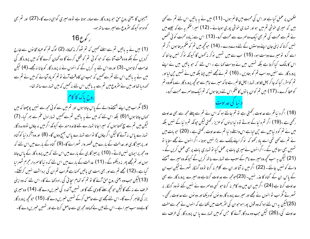بھیجوں گا یعنی روح حق حبو پرورد گار سے صادر ہوتا ہے تو وہ میری گواہی دے گا۔(27) اور تم بھی گواہ ہو کیونکہ سٹروع سے میرے ساتھ ہو۔

ا کو ع $16$ 

(1) میں نے بیہ پاتیں تم سے اسلئے ٹھیں کہ تم ٹھوکر نہ کھاؤ۔ (2) لوگ تم کو عباد تخانوں سے خارج کردیں گے بلکہ وہ وقت آتا ہے کہ حو کو ئی تم کو قتل کرنے گا وہ گھان کرے گا کہ میں پروردگار کی خدمت کرتاہوں۔ (3) اوروہ اس لئے ہہ کریں گے کہ انہوں نے نہ پرورد گار کوجانا نہ مجھے۔(4) لیکن میں نے یہ پاتیں اس لئے تم سے ٹھیں کہ جب ان کاوقت آئے تو تم کو باد آجائے کہ میں نے تم سے تحہ دیا تھا اور میں نے *مثر وع* میں تم سے یہ باتیں اس لئے نہ <sup>کھ</sup>میں کہ میں تہارے ساتھ تھا-



(5) مگر اب میں اپنے بھیجنے والے کے پاس جاتا ہوں اور تم میں سے کوئی مجھ سے نہیں پوچھتا کہ میں سمماں جاتا ہوں؟ (6) بلکہ اس لئے کہ میں نے یہ باتیں تم سے تمہیں تہارا دل عم سے بھر گیا۔ (7) لیکن میں تم سے سچ کجتا ہوں کہ میراجانا تہارے لئے فائدہ مند ہے کیونکہ اگر میں نہ جاؤں تووہ مدد گار تہهارے پاس نہ آئے گالیکن اگر جاؤں گا تواسے تہہارے پاس بھیج دوں گا- (8) اور وہ آکر د نیا کو گناہ اور پر ہیز گاری اور عدالت کے بارے میں قصور وار ٹھہرائے گا-(9) گناہ کے بارے میں اس لئے کہ وہ مجھ پر ایمان نہیں لاتے۔ (10) پر ہیز گاری کے بارے میں اس لئے کہ میں پرورد گار کے پاس جاتا ہوں اور تم مجھے پھر نہ دیکھوگے ۔ (11) عدالت کے بارے میں اس لئے کہ دینیا کاسمر دار مجرم ٹھہرایا گیا ہے۔(12) مجھے تم سے اور بھی بہت سی باتیں کھنا ہے مگر اب تم ان کی برداشت نہیں کرسکتے۔ (13) کیکن حب وہ یعنی روح حق آئے گا تو تم کو تمام سچائی کی راہ دکھا ئے گا۔ اس لئے کہ وہ اپنی طرف سے نہ بھے گالیکن حو تحچھ سے گاوہی تھے گا اور تہیں آئندہ کی خبریں دے گا۔ (14) وہ میری بزر گی ظاہر کرے گا۔اس لئے مجھے ہی سے حاصل کرکے تہیں خبریں دے گا۔ (15) حبو محچھ پرورد گار کا ہے وہ سب میر اہے ۔اس لئے میں لے کہاوہ مجھ ہی سے حاصل کرتا ہے اور شہیں خسریں دے گا۔

حکموں پر عمل کیا ہے اور اس کی محبت میں قائم ہوں۔ (11) میں نے یہ باتیں اس لئے تم سے کھی ہیں کہ میری خوشی تم میں ہواور تہاری خوشی پوری ہوجائے ۔ (12) میراحکم یہ ہے کہ جیسے میں نے تم سے محبت کی تم بھی ایک دوسرے سے محبت کرو۔ (13) اس سے زیادہ محبت کوئی شخص نہیں کرتا کہ اپنی جان اپنے دوستوں کے لئے دے دے۔ (14) حوکچھ میں تم کو حکم دیتا ہوں اگر تم اسے کرو تومیرے دوست ہو۔ (15) اب سے میں تہیں نوکر نہ <sub>ک</sub>موں گا کیونکہ نوکر نہیں جا نتا کہ اس کا مالک کیا کرتا ہے بلکہ تہیں میں نے دوست کہا ہے ۔ اس لئے کہ حو باتیں میں نے اپنے پرورد گار سے سنیں وہ سب تم کو بتادیں ۔ (16 ) تم نے مجھے نہیں چنا بلکہ میں نے تہیں ج<sub>ن</sub> لیااور تم کومقرر کیا کہ جا کر بچل لاؤاور تہارا بچل قائم رہے تا کہ میرے نام سے حوکچھ پرورد گار سے مانگووہ تم کوعطا کرے۔(17) میں تم کوان با نوں کاحکم اس لئے دیتا ہوں کہ تم ایک دوسمرے محبت کرو۔

(18) اگر د نیاتم سے عداوت رکھتی ہے تو تم جانتے ہو کہ اس نے تم سے پہلے مجھ سے بھی عداوت رکھی ہے۔(19) اگر تم د نیا کے ہوتے تود نیااپنوں کو عزیز رکھتی لیکن حپونکہ تم د نیا کے نہیں بلکہ میں نے تم کو د نیامیں سے حپی لیاہے اس واسطے د نیا تم سے عداوت رکھتی ہے۔ (20) حبوبات میں نے تم سے کہی تھی اسے یاد رکھو کہ نوکر اپنے مالک سے بڑا نہیں ہوتا - اگر انہوں نے مجھے ستایا تو تہیں بھی ستائیں گے۔اگرانہوں نےمیری بات پر عمل کیا تو تہاری بات پر بھی عمل کریں گے۔ (21) لیکن بیہ سب کحچھ وہ میرے نام کے سبب سے تہارے ساتھ کریں گے کیونکہ وہ میرے بھیجنے والے کو نہیں جانتے ۔ (22) اگر میں نہ آتا اور ان سے کلام نہ کرتا تووہ گنہگار ٹھہرتے لیکن اب ان کے پاس ان کے گناہ کا عذر نہیں۔ (23)حومجھ سے عداوت کرتاہے وہ میرے پرورد گار سے بھی عداوت کرتا ہے (24) اگر میں ان میں وہ کام نہ کرتا حبو کسی دوسرے نے نہیں کئے تووہ گنہگار نہ ٹھہر تے مگر اب تو انہوں نے مجھے اور میرے پرورد گار دو نوں کو دیکھا اور دو نوں سے عداوت رکھی ۔ (25)لیکن بہ اس لئے ہوا کہ وہ قول پوراہوحوان کی سٹریعت میں لکھاہے کہ انہوں نے مجھ سے مفت عداوت کی۔(26) لیکن جب وہ مدد گار آئے گا جس کو میں تہارے یا س پرورد گار کی طرف سے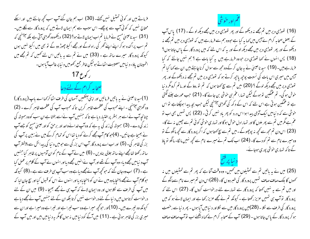فرماتے ہیں اور کوئی تمتیل تنہیں کھتے۔ (30) اب ہم جان گئے آپ سب تحچیہ جانتے ہیں اور ایکے محتاج نہیں کہ کوئی آپ سے پوچھے۔ اس سبب سے ہم ایمان لاتے ہیں کہ پرورد گار سے لکے ہیں۔ (31) سید ناعیسیٰ مسیح نے فرمایا تم اب ایمان لاتے ہو؟ (32) دیکھووہ گھڑی آتی ہے بلکہ آپہنچی کہ تم سب پراگندہ ہوکر اپنے اپنے گھر کی راہ لوگے اور مجھے اکیلا چھوڑ دو گے تو بھی میں اکیلا نہیں ہوں کیونکہ پرورد گار میرے ساتھ ہے ۔ (33) میں نے تم سے یہ باتیں اس لئے تھمیں کہ تم مجھے میں اطمینان یاؤ- د نیامیں مصیبت اٹھاتے ہولیکن خاطر جمع رکھومیں د نیا پر غالب آیا ہوں- $17e\sqrt{2}$ صحابہ کرام کے لئے دعا

(1)سید ناعیسیٰ نے بہ پاتیں فرمائیں اور اپنی آنکھیں آسمان کی طرف اٹھاکر <sub>ک</sub>ما اسے باپ (پرورد گار) وہ ٹھڑی آپہنیچی ۔ اپنے محبوب کی عظمت ظاہر کریں تاکہ محبوب آپ کی عظمت ظاہر کرے ۔ (2) چنانچہ آپ نے اسے ہر بسٹر پرافتیار دیاہے تاکہ جنہیں آپ نےاسے بخشاہے ان سب کووہ ہمیشہ کی زند کی دے۔ (3) ہمیشہ کی زند کی بہ ہے کہ وہ آپ خدائےواحد اور برحق کواور عیسیٰ مسح کو جسے آپ نے بھیجا ہے جانیں۔ (4)حبو کام آپ مجھے کرنے کو دیا تھا اس کو تمام کرکے میں نے زمین پر آپ کی بزر کی ظاہر کی۔ (5) اور اب اے پرورد گار آپ اس بزر کی سے حبومیں دنیا کی پیدائش سے پیشتر آپ ساتھ رکھتا تھامچھے اپنے ساتھ جلالی بنادیں ۔ (6) میں نے آپ کے نام کوان آدمیوں پر ظاہر کیا جنہیں آپ د نیامیں مجھے دیا۔ وہ آپ کے تھے اور آپ نےانہیں مجھے دیااور انہوں نے آپ کے کلام پر عمل کیا ہے۔(7) اب وہ جان گئے کہ حو کچھ آپ نے مجھے دیا ہے وہ سب آپ ہی طرف سے ہے ۔(8) کیونکہ حوکلام آپ نے مجھے پہنچا یاوہ میں نے ان کو پہنچا یا دیا اور انہوں نے اس کو قبول کیا اور سچ جان لیا کہ میں آپ کی طرف سے لکلا ہوں اور وہ ایمان لائے کہ آپ ہی نے مجھے بھیجا ۔ (9) میں ان کے لئے درخواست کرتا ہوں میں د نیا کے لئے درخواست نہیں کرتا بلکہ ان کے لئے جنہیں آپ نےمجھے دیا ہے کیونکہ وہ تیرے ہیں۔ (10)اور حوکچھ میرا ہے وہ سب تیرا ہے اور تیرا ہے وہ میرا ہے اوران سے میری بزر گی ظاہر ہوئی ہے ۔ (11) میں آگے کود نیامیں نہ ہوں گامگر بہ د نیامیں بیں اور میں آپ کے

عم اور خوشی

(16) تھوڑی دیر میں تم مجھے نہ دیکھو گے اور پھر تھوڑی دیر میں مجھے دیکھ لو گے ۔ (17) پاس آپ کے بعض صحابہ کرام نے آبس میں کہا ہہ کیا ہے حووہ ہم سے فرمارہے بیں کہ تھوڑی دیر میں تم مجھے نہ دیکھو گے اور پھر تھوڑی دیر میں مجھے دیکھ لوگے اور یہ کہ اس لئے کہ میں پرورد گار کے پاس جاتا ہوں<sup>؟</sup> (18) پس انہوں نے کہا تھوڑی دیر حووہ فرمارہے ہیں پہ کیا بات ہے ؟ ہم نہیں جانتے کہ کیا فرمارہے ہیں۔ (19) سید ناعیسیٰ نے بہ جان کرکےوہ مجھ سے سوال کرنا چاہتے ہیں ان سے کہا کیا تم آبس میں میری اس بات کی نسبت پوچی<sub>ش</sub>یا چی*ے کرتے ہو کہ* تھوڑی دیر میں تم مجھے نہ دیکھوگے اور پھر تھوڑی دیر میں مجھے دیکھ لوگے ؟ (20) میں تم سے سچ کھتا ہوں کہ تم تو روؤ گے اور ماتم کرومگر د نیا حوش ہو گی۔ تم عمْکمین تو ہوگے لیکن تہارا عم ہی حوشی بن جائے گا۔ (21) حب عورت جننے لگتی ہے تو عمکین ہو تی ہے اس لئے کہ اس کے د کھ کی گھڑی آپہنیجی لیکن جب بچہ پیدا ہوچکتاہے تو اس خوشی سے کہ د نیا میں ایک آدمی پیدا ہوا اس درد کو پھر یاد نہیں کرتی ۔ (22) پس تہیں بھی اب تو عم ہے مگر میں تم سے پھر ملوں گا اور تہارا دل حوش ہوگا اور تہاری حوشی کوئی تم سے جیبین نہ لے گا-(23) اس دن تم مجھ سے کجھہ نہ پوچھوگے۔میں تم سے سچ کہتا ہوں کہ اگر پرورد گار سے کجھہ مانگو گے تو وہ میرے نام سے تم کودے گا۔ (24) اب تک تم نے میرے نام سے کچھ نہیں ما گا- مانگو نو یاؤ کے تا کہ تہاری خوشی پوری ہوجائے۔

(25) میں نے یہ باتیں تم سے تمثیلوں میں تھمیں۔ وہ وقت آتا ہے کہ پھر تم سے تمثیلوں میں نہ کھوں گا بلک صاف صاف تمہیں پرورد گار کی خبر دوں گا۔ (26)اس دن تم میرے نام سےمانگو گے اور میں تم سے یہ نہیں کہتا کہ پرورد گار سے تمہارے لئے درخواست کروں گا۔ (27) اس لئے کہ پرورد گار تو آپ ہی تہیں عزیز رکھتا ہے ۔ کیونکہ تم نے مجھے عزیز رکھا ہے اور ایمان لائے ہو کہ میں پرورد گار کی طرف سے لکلہ ۔ (28)میں پرورد گار میں سے لکلااور د نیامیں آیا ہوں ۔ پھر د نیا سے رخصت ہو کر پرورد گار کے پاس جاتا ہوں ۔ (29) آپ کے صحابہ کرام بے <sub>ک</sub>ما دیکھئے اب تو آپ صا**ف** صاف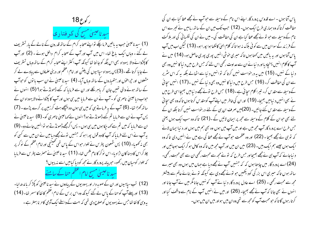

(1) سید ناعیسیٰ جب یہ باتیں فرما چکے نواپنےصحابہ کرام کے ساتھ قدرون کے نالے کے پار تسٹریف لے گئے ۔ وہاں ایک باغ تعا۔ اس میں آپ اور آپ کے صحابہ کرام داخل ہوئے ۔ (2) اور آپ کا پکڑوانے والا یہوداہ بھی اس جگہ کو جانتا تھا کیونکہ آپ اکثر اپنے صحابہ کرام کے ساتھ وہاں تسثر یف لے جا یا کرتا تھے۔(3) پس یہوداہ سپاہیوں کی پلٹن اور امام اعظم اور دینی علماؤں سے پیادے لے کر مشعلوں اور حیراعوں اور ہتھیاروں کے ساتھ وہاں آیا۔ (4) سید ناعیسیٰ نے ان سب با نوں کو حوآپ کے ساتھ ہونے والی تھیں جان کر باہر لگلے اور ان سے فرمایا کہ کے ڈھونڈتے ہو؟ (5) انہوں نے حبواب دیا عیسیٰ ناصری کو ۔ آپ نے ان سے فرمایا میں ہی ہوں اور آپ کا پکڑوانے والا یہوداہ ان کے ساتھ کھڑا تھا۔ (6) آپ کے یہ فرماتے ہی کہ میں ہی ہوں وہ پیچھے ہٹ کر زمین پر گرے پڑے۔ (7) پس آپ نے ان سے فرمایا تم کے ڈھونڈتے ہو؟ انہوں نے کہاعیسیٰ ناصری کو۔ (8) سید ناعیسیٰ نے ان سے فرمایا کہ میں تم سے کھہ چکاموں میں ہی ہوں ۔ پس اگرمجھے ڈھونڈتے ہو توانہیں جانے دو۔ (9) یہ آپ نے اس لئے فرمایا کہ آپ کاوہ قول پورا ہو کہ جنہیں تونے مجھے دیامیں نے ان میں سے کسی کو بھی نہ کھویا۔ (10) پس شمعون پطرس نے تلوار حواس کے پاس تھی تھینیچی اورامام اعظم کے نوکر پر چلا کراس کا دہنا کان اڑا دیا- اس نو کر کا نام ملحس تھا**- (11)** سید ناعیسیٰ نے حصرت پطرس سے فرمایا کہ تلوار کومیان میں رکھو۔ حو پیالہ پرورد گار نے مجھ کودیا کیامیں اسے نہ پیوں ؟ سید ناعیسیٰ مسیح امام اعظم حناکے سامنے

(12) تب سپاہیوں اور ان کے صوبہ دار اور یہودیوں کے پیادوں نے سید ناعیسیٰ کو پکڑ کر باندھ لیا-(13) اور پہلےآپ کوحناکے پاس لے گئے کیونکہ وہ اس برس کے امام اعظم کا ئفا کاسسر تھا۔(14) یہ وہی کا نفا تھا جس نے یہودیوں کوصلاح دی تھی کہ امت کے واسطے ایک آدمی کامر نا بہتر ہے ۔

یاس آتا ہوں ۔ اے قدوس پرورد گار اپنے اس نام کے وسیلہ سے حواتپ نے مجھے عطا کیا ہے ان کی حفاظت کرتا کہ وہ ہماری طرح ایک ہوں۔ (12) حب تک میں ان کے ساتھ رہا میں نے تیرے اس نام کے وسیلہ سے حبو تو نے مجھے عطا کیا ہے ان کی حفاظت کی ۔میں نے ان کی نگہبا ٹی کی اور ہلا کت کے فرز ند کے سواان میں سے کو ٹی بلاک نہ ہوا تا کہ کلام الهیٰ کالکھا ہوا پورا ہو۔ (13) لیکن اب میں آپ یاس آتا ہوں اور یہ باتیں میں کھتا ہوں تا کہ میری خوشی انہیں پوری پوری حاصل ہو۔ (14) میں نے آپ کا کلام انہیں پہنچادیااور د نیا نے ان سے عداوت رکھی اس لئے کہ جس طرح میں د نیا کا نہیں وہ بھی د نبا کے نہیں۔ (15) میں یہ درخواست نہیں کرتا کہ نوائنیں د نیا سے اٹھالے بلکہ یہ کہ اس سٹریر سے ان کی حفاظت کر۔ (16) حس طرح میں د نیا کا نہیں وہ بھی د نیا کے نہیں ۔(17) انہیں سچائی کے وسیلہ سے مقد س کر۔ تیرا کلام سچائی ہے۔(18) جس طرح نونے مجھے دیپامیں بھیجااسی طرح میں نے بھی انہیں د نیامیں بھیجا۔ (19) اور ان کی خاطر میں اپنےآپ کومقد س کر تاہوں تا کہ وہ بھی سچائی کے وسیلہ سے مقد س کئے جائیں۔ (20)میں صرف ان ہی کے لئے درخواست نہیں کرتا بلکہ ان کے یئے بھی حبو ان کے کلام کے وسیلہ سے محمّہ پر ایمان لائیں گے ۔(21) تا کہ وہ سب ایک ہوں یعنی جس طرح اے پرورد گار آپ مجھ میں ہے اور میں آپ میں ہوں وہ بھی ہم میں ہوں اور د نبا ایمان لائے کہ تو ہی نے مجھے بھیجا ۔ (22) اور وہ عظمت حبوآپ نے مجھے عطا کی ہے میں نے انہیں دی تاکہ وہ ا یک ہوں جیسے ہم ایک بیں۔ (23) میں ان میں اور آپ مجھ میں تا کہ وہ کامل ہو کر ایک ہوجائیں اور د نیاجانے کہ آپ ہی نے مجھے بھیجااور حس طرح کہ نونے محمد سے محبت رکھی ان سے بھی محبت رکھی۔ (24) اے پرورد گار میں چاہتا ہوں کہ کہ جنہیں آپ نے مجھے دیا ہے جہاں میں ہوں وہ بھی میرے ساتھ ہوں تاکہ میری اس بزر کی کودیکھیں حو تونے مجھے دی ہے کیونکہ تونے بنائےعالم سے پیشتر مجھ سے محبت رکھی ۔ (25) اے عادل پرورد گار د نیا نے آپ کو نہیں جانا مگر میں نے آپ جانا اور انہوں نے بھی جانا کہ آپ نے مجھے بھیجا۔ (26) اور میں نے انہیں آپ کے نام سے واقف کیااور کرتارہوں گا تا کہ حبو محبت <del>آپ</del> کومجھ سے تھی وہ ان میں ہواور میں ان میں ہوں۔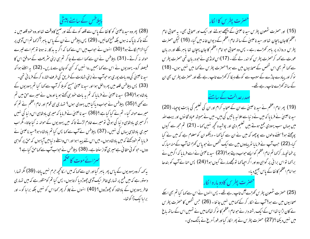

(28) پھروہ سید ناعیسیٰ کو کا ئفاکے پاس سے قلعہ کولے گئے اور صبح کاوقت تھااور وہ خود قلعہ میں نہ گئے تاکہ ناپاک نہ ہوں بلکہ فسح کھائیں۔(29) پس پیلاطس نے ان کے پاس باہر آکر کہا تم اس آدمی پر کیا الزام لگاتے ہو؟ (30) انہوں نے حواب میں اس سے کہا کہ اگر یہ بد کار نہ ہوتا تو ہم اسے تیرے حوالہ نہ کرتے۔(31) پیلاطس نے ان سے کہا اسے لے جاکر تم ہی اپنی سثر یعت کے موافق اس کا فیصلہ کرو۔ یہودیوں نے اس سے کہا ہمیں روا نہیں کہ کسی کوجان سے ماریں۔ (32) پہ اسلئے ہوا کہ سید ناعیسیٰ کی وہ بات پوری ہو حواسب نے اپنی شہادت کے طریق کی طرف اشارہ کرکے فرما ئی تھی۔ (33) پس پیلاطس قلعہ میں پھر داخل ہوا اور سید ناعیسیٰ مسیح کوبلا کر آپ سے کہا کیا تم یہودیوں کے بادشاہ ہو؟ (34) سید ناعیسیٰ نے فرمایا کہ تم یہ بات خود ہی کہتے ہو یا اوروں نے میرے حق میں تم سے کھی ؟ (35) پیلاطس نے حبواب دیا کیا میں یہودی ہوں؟ تہاری ہی قوم اور امام اعظم نے تم کو میرے حوالہ کیا۔ تم نے کیا کیاہے ؟ (36) سید ناعیسیٰ نے فرمایا کہ میری بادشاہی اس دنیا کی نہیں اگر میری بادشاہی د نیا کی ہوتی تومیرے خادم لڑتے تاکہ میں یہودیوں کے حوالہ نہ کیاجاتا۔ مگر اب میری بادشاہی یہاں کی تہیں۔(37) پیلاطس نے آپ سے کھا پس کیا تم بادشاہ ہو؟سید ناعیسیٰ نے فرمایا تم خودکھتے کہ میں بادشاہ ہوں۔ میں اس لئے پیدا ہوااور اس واسطے دینیا میں آیا ہوں کہ حق پر گواہی دوں۔ حو کوئی حقا فی ہے میری آواز سنتا ہے۔ (38) پیلاطس نے حواب آپ سے کہا حق کیا ہے ؟

سنرائے موت کا صحم

یہ کھہ کروہ یہودیوں کے پاس پھر باہر گیااور ان سے کھا کہ میں اسکا کحچھ حرم نہیں پاتا۔ (39) مگر تہارا دستور ہے کہ میں فسح پر تہاری خاطر ایک آدمی چھوڑ دیا کرتا ہوں۔ پس کیا تم کومنظور ہے کہ میں تہاری خاطر یہودیوں کے بادشاہ کو چھوڑدوں؟ (40) انہوں نے چلا کر پھر <sub>ک</sub>ہا اس کو نہیں بلکہ برایا کو - اور براباایک ڈاکوتھا۔

حصرت پطرس کاالکار

(15) اور حصرت شمعون پطرس سید نا عیسیٰ کے پیچھے ہوگئے اور ایک اور صحابی بھی۔ یہ صحابی امام اعظم کاجان پہچان تھااور سید ناعیسیٰ کے ساتھ امام اعظم کے دیوان خانہ میں گیا۔ (16) لیکن حصرت پطرس دروازہ پر پاہر کھڑے رہے - پس وہ صحابی حبو امام اعظم کا جان پہچان تھا پاہر لکلے اور دریان عورت سے کہہ کرحصرت پطرس کو اندر لے گئے ۔ (17)اس لونڈی نے حودریان تھی حصرت پطرس سے کہا تم بھی اس شخص کے صحابیوں میں سے ہو؟ حصرت پطرس نے کہا میں نہیں ہوں۔ (18) نو کر اور پیادے جاڑے کے سبب سے کونلے دیکا کر کھڑے تاپ رہے تھے اور حصرت پطرس بھی ان کے ساتھ کھڑے تاپ رہے تھے۔

صدرعدالت کے سامنے

(19) پھر امام اعظم نے سید ناعیسیٰ سے ان کے صحابہ کرام اور ان کی تعلیم کی بابت پوچیا۔ (20) سید ناعیسیٰ نے فرمایا کہ میں نے د نیا سے علانیہ باتیں کی ہیں۔میں نے ہمیشہ عباد تخانوں اور بیت اللہ میں جہاں سب یہودی جمع ہوتے ہیں تعلیم دی اور پوشیدہ کجھ نہیں کہا - (21) تم مجھ سے کیوں پوچھتے ہو؟ پننے والوں سے پوچھو کہ میں نے ان سے کیاکہا - دیکھو ان کو معلوم ہے کہ میں نے کیا کیا۔(22) حب آپ نے فرمایا تو پبادوں میں سے ایک شخص نے حبو پاس کھڑا تھاآپ کے منہ مبارک پر طمانحہ مار کر <sub>ک</sub>ما تم امام اعظم کوایسے حواب دیتے ہو؟ (23) سید ناعیسیٰ نے اسے فرمایا کہ اگر میں نے براکھا تو اس برا ئی پر گواہی دو اور اگر احیاکھا تومجھے مارتے کیوں ہو؟ (24) پس حنا نے آپ کو بندھا ہواامام اعظم کا ئفاکے پاس بھیج دیا۔

### حصرت پطرس کادوباره الکار

(25) حصرت شمعون پطرس کھڑے آگ تاپ رہے تھے - پس انہوں نے اس سے کہا کیا تم بھی اسکے صحابیوں میں سے ہو؟ آپ نے انکار کر کے <sub>ک</sub>ما میں نہیں جانتا - (26) حب<sub>س</sub> شخص کا حصرت پطرس نے کان اڑا یا تھا اس کے ایک رشتہ دار نے حبوامام اعظم کا نو کر تھاکھا میں نے تہیں اس کے ساتھ ماغ میں نہیں دیکھا ؟ (27) حصرت پطرس نے پھر انکار کیااور فوراً مرغ نے بانگ دی۔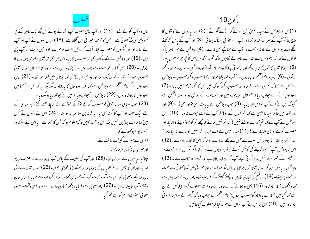پس وہ آپ کو لے گئے ۔ (17) اور آپ اپنی صلیب آپ اٹھائے ہوئے اس جگہ تک پاہر گئے حبو کھو پڑی کی جگہ کھلاتی ہے ۔حس کا ترحمہ عبرانی میں گلگتا ہے۔ (18) وہاں انہوں نے آپ اور آپ کے ساتھ اور دو شخصوں کو مصلوب کیا۔ ایک کو پائیں طرف دوسمرے کو دائیں طرف اور آپ بیچ میں۔ (19) اور پیلاطس نےایک کتابہ لکھا کر صلیب پرلگادیا۔اس میں لکھا تھاعیسیٰ ناصری یہودیوں کا بادشاہ ۔ (20) اس کتابہ کو بہت سے یہودیوں نے پڑھا۔ اس لئے کہ وہ مقام جہاں سیدنا عیسیٰ مصلوب ہوئے شہر کے نزدیک تھا اور وہ عسرانی ،لاطنی اور یونانی میں لکھا ہوا تھا۔ (21) پس یہودیوں کے امام اعظم نے پیلاطس سے کہا کہ یہودویوں کا بادشاہ نہ لکھ بلکہ بہ کہ اس نے کہا میں یہودیوں کا بادشاہ ہوں۔ (22) پیلاطس نے حواب دیا کہ میں نے حولکھ دیاوہ لکھ دیا-(23) جب سپاہی سید ناعیسیٰ کومصلوب کرچکے نوآ پکے کپڑے لے کرچار جصے گئے۔ ہر سپاہی کے یئے ایک حصہ اور آپ کا کرتہ بھی لیا۔ یہ کرتہ بن سلاسمر بنا ہوا تھا۔ (24) اس لئے انہوں نے آپس میں کہا کہ اسے پیاڑیں نہیں بلکہ اس پر قرعہ ڈالیں تا کہ معلوم ہو کہ کس کا لکلتاہے - یہ اس لئے ہوا کہ وہ نوشتہ پوراہوکھتاہے کہ انہوں نے میرے کیڑے بانٹ لئے اورمىيرى پوشاك پر قرعه ڈالا-چنانچہ سیاہیوں نے ایسا ہی کیا۔ (25) اور آپ کی صلیب کے پاس آپ کی والدہ ماجدہ حصرت مریم صدیقہ اور ان کی بہن ،مریم کلویاس کی بیوی اور مریم مگدلینی کھڑی تھیں۔ (26) سید ناعیسیٰ نے اپنی ماں اور ایک صحابی کو حس سے آپ محبت کرتے تھے پاس کھڑے دیکھ کر والدہ سے فرمایا کہ اماں جان دیکھئے آپ کا بیٹا ہہ ہے ۔ (27) پھر صحابی سے فرمایا دیکھو تہاری والدہ ہہ ہے اور اسی وقت سے وہ صحابی حصرت مریم کواپنے گھر گیا۔

ر کوع 19

(1)اس پر پیلاطس نے سید نا عیسیٰ مسح کو لے کر کوڑے لگوائے ۔ (2) اور سیاہیوں نے کا نٹوں کا تاج بنا کرآپ کے سمر مبارک پر رکھا اور آپ کو ارعوا نی پوشاک پہنا ئی۔ (3) اور آپ کے پاس آکر کھنے گھ اے یہودیوں کے بادشاہ آداب اور آپ کے طمانچے بھی مارے ۔ (4) پیلاطس نے پھر پاہر جا کر لوگوں سے کہا کہ دیکھومیں اسے تمہارے پاہر لے آتا ہوں تا کہ تم جا نو کہ میں اس کانحچہ حرم نہیں پاتا-(5) سید ناعیسیٰ کا نٹوں کا تاج رکھے اور ارعوٰا فی پوشاک پہنے پاہر آئے اور بیلاطس نے ان سے کہا دیکھو بہ آدمی ۔ (6) حب امام اعظم اور پیادوں نے آپ کو دیکھا تو چلا کر <sub>ک</sub>مامصلوب کرومصلوب - پیلاطس نے ان سے کہا کہ تم ہی اسے لے جاؤ اور مصلوب کروکیونکہ میں اس کا کحچہ جرم نہیں پاتا ۔ (7) یہودیوں نے اسے حبواب دیا کہ ہم اہل سٹریعت بیں اور سٹریعت کے موافق وہ واجب القتل ہے کیونکہ اس نے اپنے آپ کوا بن اللہ بنایا۔ (8) جب پیلاطس نے بہ بات سنی نواور بھی ڈرا۔ (9) اور پھر قلعہ میں جاکر سیدنا عیسیٰ سے کہا تم کہاں کے ہو؟ مگر آپ نے اسے حواب نہ دیا۔ (10) پس پیلاطس نے آپ سے کہا تم مجھ سے بولتے نہیں ؟ کیا تم نہیں جانتے کہ مجھے تم کو چھوڑد پنے کا اختیار اور مصلوب کرنے کا بھی اختیار ہے ؟ (11)سید نا عیسیٰ نے اسے فرمایا اگر تہیں اوپر سے نہ دیا جاتا تو تہارامجھ پر اختیار نہ ہوتا۔ اس سبب سے جس نے مجھے تہارے حوالہ کیا اس کا گناہ زیاد ہ ہے۔(12) اس پر پیلاطس آپ کو چھوڑدپنے کی کوشش کرنے لگا مگر یہودیوں نے چلا کر <sub>ک</sub>ما اگر تم اس کو چھوڑ دیتے ہو تو قیصر کے خبیر حواہ نہیں۔ حبو کوئی اپنے آپ کو بادشاہ بناتا ہے وہ قبیصر کا مخالف ہے ۔ (13) پیلاطس ہہ پاتیں سن کر سید ناعیسیٰ کو پاہر لایا اور اس جگہ حوجبو ترہ اور عبر انی میں گہتا کھلاتی ہے تخت عدالت پر بیٹھا۔ (14) یہ فسح کی تباری کادن اور چھٹے گھنٹے کے قریب تھا۔ پھر اس نے یہودیوں سے کھادیکھو یہ تہارا بادشاہ ۔ (15) پس وہ چلائے کہ لے جاؤ ، لے جاؤ اسے مصلوب کرو۔ پیلاطس نے ان سے کہا کیامیں تہارے بادشاہ کومصلوب کروں؟ امام اعظم نے حبواب دیا کہ قبیصر کے سوا ہمارا کو ٹی یادشاہ نہیں۔(16) اس پراس نے آپ کوان کے حوالہ کیا کہ مصلوب کیاجائیں۔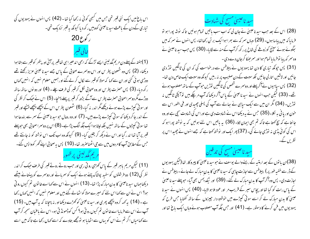اس باغ میں ایک نئی قبر تھی جس میں کبھی کوئی نہ رکھا گیا تھا۔(42) پس انہوں نے یہودیوں کی تیاری کےدن کے باعث سید ناعیسیٰ کووبیں رکھ دیا کیونکہ یہ قسٖر نزدیک تھی۔ ر کو ع $(20, 5)$ 

(1)ہفتہ کے پہلے دن مریم مگدلینی ایسے تڑکے کہ ابھی اندھیراہی تعاقبر پرآئی اور پتھر کو قبر سے ہٹاہوا دیکھا۔ (2) پس وہ شمعون پطر س اور اس دوسمرے صحابی کے پاس جسے سید نا عیسیٰ عزیز رکھتے تھے دوڑی ہو ئی گئی اور ان سے <sub>ک</sub>ہا کہ مولا کو قس<sub>ر سے</sub> لکال کر لےگئے اور ہمیں معلوم نہیں کہ انہیں <sub>ک</sub>ماں ر کھ دیا۔ (3) پس حصرت پطرس اور وہ صحابی لکل کر قسر کی طرف چلے۔ (4) اور دو نوں ساتھ ساتھ دوڑے مگر دوسمراصحا بی حصرت پطرس سے آگے بڑھ کر قسر پر پہلے پہنچا۔ (5) اس نے حبک کر نظر کی اور سو ٹی کپڑے پڑے ہوئے دیکھے مگر اندر نہ گیا۔(6) شمعون پطرس اس کے پیچھے پیچھے پہنچے اور قبر کے اندر جاکر دیکھا کہ سو ٹی کیپڑے پڑے ہیں۔ (7) اور وہ رومال حبوسید ناعیسیٰ کے سمر سے بندھا ہوا تھا سو ٹی کپڑوں کے ساتھ نہیں بلکہ لپٹا ہواایک جگہ الگ پڑا ہے۔(8) اس پر دوسمرا صحابی بھی حوپہلے قبر پرآیا تھااند رگیااور اس نے دیکھ کریقین کیا۔ (9) کیونکہ وہ اب تک اس نوشتہ کو نہ جانتے تھے جس کےمطابق آپ کامر دوں میں سے جی اٹھناصرور تھا۔ (10) پس یہ صحابی اپنے گھر کوواپس گئے۔

(11) لیکن مریم باہر قبر کے پاس کھڑی رو تی رہی اور حب روتے روتے قبر کی طرف حبک کراندر نطر کی (12) دو فرشتوں کوسفید پوشاک پہنے ہوئے ایک کو سمریانے اور دوسمرے کو پینتانے بیٹھے دیکھاجہاں سید ناعیسیٰ کا بدن مبارک پڑا تھا۔ (13) انہوں نے اس سے کہااے خاتون تم کیوں رو تی ہو؟ اس نے ان سے کہا اس لئے کہ میرے مولا کو اٹھالے گئے بیں اور معلوم نہیں کہ انہیں کہاں رکھا ہے۔(14) پہ کہہ کروہ بیچھے پھری اور سید ناعیسیٰ کو کھڑے دیکھا اور نہ بہجانا کہ پہ آپ بیں۔(15) آپ نے اس سے فرمایااے خا نون تم کیوں رو تی ہو؟ کس کوڈھونڈ تی ہو۔اس نے باعنبان سمجھ کر آپ سے کہا مباں اگر تم نے اس کو یہاں سے اٹھایا ہو تومجھے بتادے کہ اسے کہاں رکھا ہے تاکہ میں اسے



(28) اس کے بعد حب سید ناعیسیٰ نے جان لی کہ اب سب پاتیں تمام ہوئیں تاکہ پونٹہ پورا ہو تو فرمایا کہ میں پباسا ہوں۔ (29) وہاں سمر کہ سے بھراہوا ایک برتن رکھاتھا- پس انہوں نے سمر کہ میں بھگوئے ہوئے سینیج کوزوفے کی شاخ پرر کھ کرآپ کے منہ سے لگایا۔ (30) پس جب سید ناعیسیٰ نے وہ سمر کہ پیا توفرمایا تمام ہوااور سمرحھکا کرجان دے دی ۔

(31) پس حپونکہ تیاری کا دن تھا یہودیوں نے پیلاطس سے در حواست کی کہ ان کی ٹانگیں لتوڑ دی جائیں اور لاشیں اتارلی جائیں تکہ سبت کے دن صلیب پر نہ رہیں کیونکہ وہ سبت ایک خاص دن تھا-(32) پس سیاہیوں نے آگر پہلےاور دوسرے شخص کی ٹانگیں توڑیں حوآپ کے ساتھ مصلوب ہوئے تھے۔ (33) لیکن حب انہوں نے سید ناعیسیٰ کے پاس آکر دیکھا کہ آپ مریچکے بیں تو آپکی ٹانگیں نہ توڑیں۔ (34) مگر ان میں سے ایک سیاہی نے سِمالے سے آپ کی پسلی چھیدی اور فنی الفور اس سے خون اور یا فی ہر نکلا۔(35) حس نے یہ دیکھااس نے شہادت دی ہے اوراس کی شہادت سچی ہے اور وہ جا نتا ہے کہ سچ کھتا ہے تاکہ تم بھی ایمان لاؤ۔ (36) یہ باتیں اس لئے ہوئیں کہ یہ نوشتہ پورا ہو کہ اس کی کوئی ہڈی نہ نوڑی جائے گی۔ (37) پھر ایک اور نوشتہ کھتا ہے کہ جسے انہوں نے چھیدااس پر نظریں کے

سید ناعیسیٰ مسح کی تدفین

(38)ان با توں کے بعد ارمنیہ کے رہنےوالے یوسف نے حوسید ناعیسیٰ کا پیروکار تھا (لیکن یہودیوں کے ڈر سے خفیہ طور پر ) پیلاطس سے اجازت چاہی کہ سید ناعیسیٰ کا بدن مبارک لے جائے۔ پیلاطس نے اجازت دی۔ پس وہ آگر آپ کا بدنِ مبارک لے گئے۔ (39) اور نیکدیمس بھی آیا۔ حوپہلے سید ناعیسیٰ کے پاس رات کو گیا تھا اور پچاس سیر کے قریب مر اور عود ملا ہو الایا- (40) پس انہوں نے سید نا عیسیٰ کا بدنِ مبارک لے کر اسے سوتی کمپڑے میں خوشبو دار جیپزوں کے ساتھ کفنایا جس طرح کہ یہودیوں میں فن کرنے کا دستور ہے۔ (41) اور جس جگہ آپ مصلوب ہوئے وہاں ایک باغ تھا اور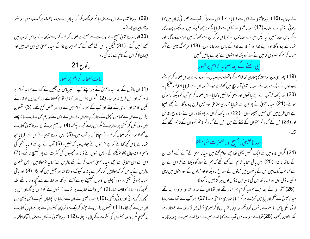(29) سید ناعیسیٰ نے اس سے فرمایا تم تومجھے دیکھ کر ایمان لائے ہو۔ باعث بر کت وہ بیں حو بغیر دیکھے ایمان لائے۔ (30)اور سید ناعیسیٰ مسح نے اور بہت سے معجزے صحابہ کرام کے سامنے دکھائے حبواس کتاب میں لکھے ہنیں گئے ۔ (31) لیکن یہ اس لئے لکھے گئے کہ تم ایمان لاؤ کے سید نا عیسیٰ ہی ابن اللہ بیں اور ایمان لا کراس کے نام سے زند کی یاؤ۔ ر کوع 21 س**ات** صحابہ کرام پر ظہور (1) ان با نوں کے بعد سید ناعیسیٰ نے پھر اپنے آپ کو تیبر پاس کی جھیل کے کنارے صحابہ کرام پر ظاہر کیا اور اس طرح ظاہر کیا۔ (2) شمعون پطرس اور توما حو توام کھلاتا ہے اور نتن ایل حو قانائے گلیل کا تھا اور زبدی کے بیٹے اور آپ کے صحابہ کرام میں سے دو اور شخص جمع تھے۔ (3) شمعون پطرس نے ان سے کہا میں مجیلی کے شکار کوجاتا ہوں۔ انہوں نے اس سے کہا ہم بھی تہارے ساتھ چلتے ہیں۔وہ نکل کر کشتی پر سوار ہوئے مگر اس رات کچھ نہ پکڑا۔ (4) اور صبح ہوتے ہی سید ناعیسیٰ کنارے پر آٹھڑا ہوئے مگر صحابہ کرام نے پہچانا کہ یہ آپ ہیں۔(5) پس سیدنا عیسیٰ نے ان سے فرمایا بچو تہارے پاس کچھ کھانے کوہے ؟اسوں نے حواب دیا کہ نہیں۔ (6) آپ نے ان سے فرمایا کشتی کی د ہنی طرف جال ڈالو تو بکڑوگے ۔ پس انہوں نے ڈالااور مچیلیوں کی کنٹرت سے پھر ٹھینیچ نہ سکے۔ (7) اس لئے اس صحابی سے جسے سید نا عیسیٰ محبت کرتے تھے پطرس سے کھا یہ تو مولا بیں ۔ پس شمعون پطرس نے ہیہ سن کر کہ مولا بیں کر تہ کھرسے با ندھا کیونکہ وہ ننگا تھااور جھیل میں کودیڑا۔ (8) اور یاقی صحابہ چھوٹی کشتی پر سوار مجیلیوں کا جال صحیحیتے ہوئے آئے کیونکہ وہ کنارے سے کچھ دور نہ تھے بلکہ تخمیناً دوسوباتھ کافاصلہ تھا۔ (9) حبں وقت کنارے پر اترے نوائنوں نے کوئلوں کی آگ اور اس پر مچپلی رکھی ہوئی اور رو ٹی دیکھی۔(10) سید ناعیسیٰ نے ان سے فرمایا حومچیلیاں تم نے ابھی پکڑی ہیں ان میں سے کچھ لاؤ۔ (11) شمعون پطرس نے چڑھ کرایک سو تریپن مجیلیوں سے بھرا ہواجال کنارے پر تھینیا مگر باوحود مجلیوں کی کثرت کے جال نہ پھٹا۔ (12) سید ناعیسیٰ نے ان سے فرمایا آؤ تھا ناکھالو

لے جاؤں۔ (16) سید ناعیسیٰ نے اس سے فرمایا مریم! اس نے مڑ کر آپ سے عبرانی زبان میں کھا ر بو فی ، یعنی اے استاد۔ (17 ) سبد ناعیسیٰ نے اس سے فرمایا مجھے نہ چھو کیونکہ میں اب تک پرورد گار کے پاس اوپر نہیں گیا لیکن میرے ہعایئوں کے پاس جاکر ان سے کھو کہ میں اپنے پروردگار اور تہارے پرورد گار او راپنے خدا اور تہارے خدا کے پاس او پر جاتا ہوں۔ (18) مریم مگدلینی نے آگر صحابہ کرام کوخبردی کہ میں نےمولا کو دیکھااور انہوں نےمجھ سے ماتیں کھیں۔ حی اٹھنے کے بعد صحابہ کرام پر ظہور

ِ (19 ) بھر اسی دن حو ہفتہ کا پہلادن تنا شام کے وقت حب وہاں کے دروازے جہاں صحابہ کرام تھے یہودیوں کے ڈرسے بند تھے سیدنا عیسیٰ آکر بیچ میں کھڑے ہوئے اور ان سے فرمایا اسلام وعلیکم ۔ (20) اور بیر<sub>ک</sub>مه کرآپ نے اپنے ہاتھوں اور پسلی کوانہیں دکھایا۔ پس صحابہ کرام آپ کو دیکھ کر حوش ہوئے۔(21) سید ناعیسیٰ نے پھران سے فرمایا تہاری سلامتی ہو۔ جس طرح پرورد گار نے مجھے بھیجا ہے اسی طرح میں بھی تہیں بھیجتا ہوں ۔ (22) اور یہ کہہ کران پر بھو کا اور ان سے کہا روح القد س لو۔ (23) حمِن کے گناہ تم بخشوان کے بیختے گئے ہیں۔حمِن کے گناہ تم قائم رکھوان کے قائم رکھے گئے

## سيد ناغليتي ، مشيح اور حضرت توماعليَّتَه

(24) مگر ان بارہ میں سے ایک شخص یعنی توما جسے توام کہتے ہیں سید ناعیسیٰ کے آنے کے وقت ان کے ساتھ نہ تھا۔ (25) پس باقی صحابہ کرام اسے کھنے لگے کہ ہم نے مولا کو دیکھا ہے مگر اس نے ان سے کہاجب تک میں اس کے باتھوں میں میخوں کے سوراخ نہ دیکھ لو اور میخوں کے سوراخوں میں اپنی ا نگلی نہ ڈال لوں اور اپنا با تھ اس کی پسلی میں نہ ڈال لوں ہر گزیقین نہ کرو نگا-

(26) آٹھ روز کے بعد حب صحابہ کرام پھر اندر تھے اور توہا ان کے ساتھ تھا اور دروازہ بند تھے سید ناعیسیٰ نے آکر اور بیچ میں کھڑے ہو کر فرمایا تہاری سلامتی ہو۔ (27) پھر آپ نے توما سے فرمایا اپنی انگلی پاس لاؤمیرے ہاتھوں کو دیکھواور اپنا ہاتھ پاس لا کرمیری پسلی میں ڈالواور بے اعتقاد نہ ہو بلکہ اعتقاد رکھو۔ (28) توما نے حواب میں آپ سے کہا اے میرے مولا اے میرے پرورد گار -